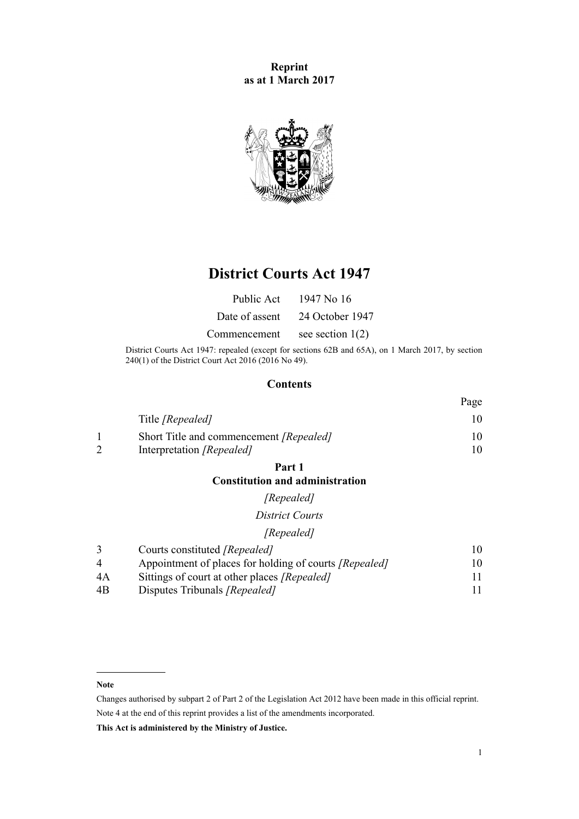**Reprint as at 1 March 2017**



# **District Courts Act 1947**

| Public Act     | 1947 No 16         |
|----------------|--------------------|
| Date of assent | 24 October 1947    |
| Commencement   | see section $1(2)$ |

District Courts Act 1947: repealed (except for sections 62B and 65A), on 1 March 2017, by [section](http://prd-lgnz-nlb.prd.pco.net.nz/pdflink.aspx?id=DLM6942646) [240\(1\)](http://prd-lgnz-nlb.prd.pco.net.nz/pdflink.aspx?id=DLM6942646) of the District Court Act 2016 (2016 No 49).

## **Contents**

|                                         | Page |
|-----------------------------------------|------|
| Title [Repealed]                        |      |
| Short Title and commencement [Repealed] |      |
| Interpretation [Repealed]               |      |

**[Part 1](#page-9-0)**

### **[Constitution and administration](#page-9-0)**

## *[Repealed]*

*[District Courts](#page-9-0)*

## *[Repealed]*

|                | Courts constituted [Repealed]                                 | 10 |
|----------------|---------------------------------------------------------------|----|
| $\overline{4}$ | Appointment of places for holding of courts <i>[Repealed]</i> | 10 |
| 4A             | Sittings of court at other places <i>[Repealed]</i>           |    |
| 4B             | Disputes Tribunals <i>[Repealed]</i>                          |    |

#### **Note**

Changes authorised by [subpart 2](http://prd-lgnz-nlb.prd.pco.net.nz/pdflink.aspx?id=DLM2998524) of Part 2 of the Legislation Act 2012 have been made in this official reprint. Note 4 at the end of this reprint provides a list of the amendments incorporated.

**This Act is administered by the Ministry of Justice.**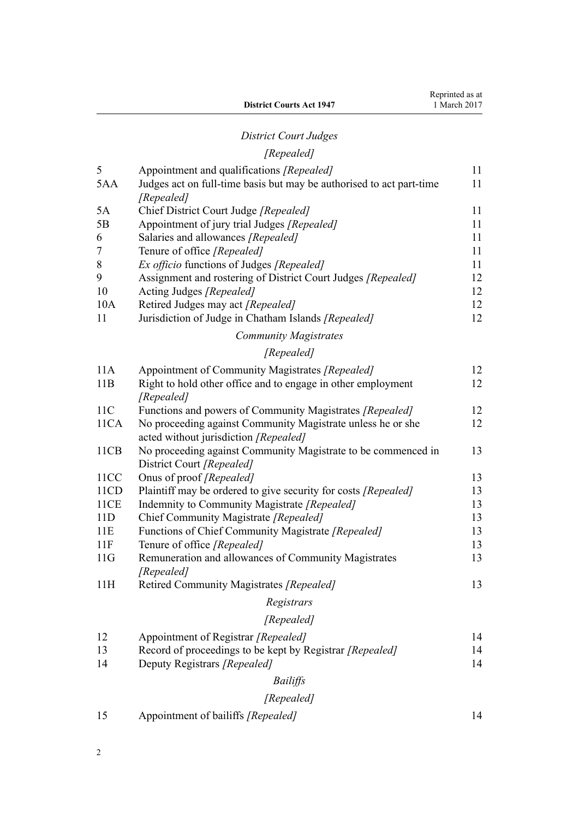# *[District Court Judges](#page-10-0)*

## *[Repealed]*

| 5    | Appointment and qualifications [Repealed]                            | 11 |
|------|----------------------------------------------------------------------|----|
| 5AA  | Judges act on full-time basis but may be authorised to act part-time | 11 |
|      | [Repealed]                                                           |    |
| 5A   | Chief District Court Judge [Repealed]                                | 11 |
| 5B   | Appointment of jury trial Judges [Repealed]                          | 11 |
| 6    | Salaries and allowances [Repealed]                                   | 11 |
| 7    | Tenure of office [Repealed]                                          | 11 |
| 8    | Ex officio functions of Judges [Repealed]                            | 11 |
| 9    | Assignment and rostering of District Court Judges [Repealed]         | 12 |
| 10   | Acting Judges [Repealed]                                             | 12 |
| 10A  | Retired Judges may act [Repealed]                                    | 12 |
| 11   | Jurisdiction of Judge in Chatham Islands [Repealed]                  | 12 |
|      | <b>Community Magistrates</b>                                         |    |
|      | [Repealed]                                                           |    |
| 11A  | Appointment of Community Magistrates [Repealed]                      | 12 |
| 11B  | Right to hold other office and to engage in other employment         | 12 |
|      | [Repealed]                                                           |    |
| 11C  | Functions and powers of Community Magistrates [Repealed]             | 12 |
| 11CA | No proceeding against Community Magistrate unless he or she          | 12 |
|      | acted without jurisdiction [Repealed]                                |    |
| 11CB | No proceeding against Community Magistrate to be commenced in        | 13 |
|      | District Court [Repealed]                                            |    |
| 11CC | Onus of proof [Repealed]                                             | 13 |
| 11CD | Plaintiff may be ordered to give security for costs [Repealed]       | 13 |
| 11CE | Indemnity to Community Magistrate [Repealed]                         | 13 |
| 11D  | Chief Community Magistrate [Repealed]                                | 13 |
| 11E  | Functions of Chief Community Magistrate [Repealed]                   | 13 |
| 11F  | Tenure of office [Repealed]                                          | 13 |
| 11G  | Remuneration and allowances of Community Magistrates                 | 13 |
|      | [Repealed]                                                           |    |
| 11H  | Retired Community Magistrates [Repealed]                             | 13 |
|      | Registrars                                                           |    |
|      | [Repealed]                                                           |    |
| 12   | Appointment of Registrar [Repealed]                                  | 14 |
| 13   | Record of proceedings to be kept by Registrar [Repealed]             | 14 |
| 14   | Deputy Registrars [Repealed]                                         | 14 |
|      | <b>Bailiffs</b>                                                      |    |
|      | [Repealed]                                                           |    |
|      |                                                                      |    |

[15](#page-13-0) [Appointment of bailiffs](#page-13-0) *[Repealed]* [14](#page-13-0)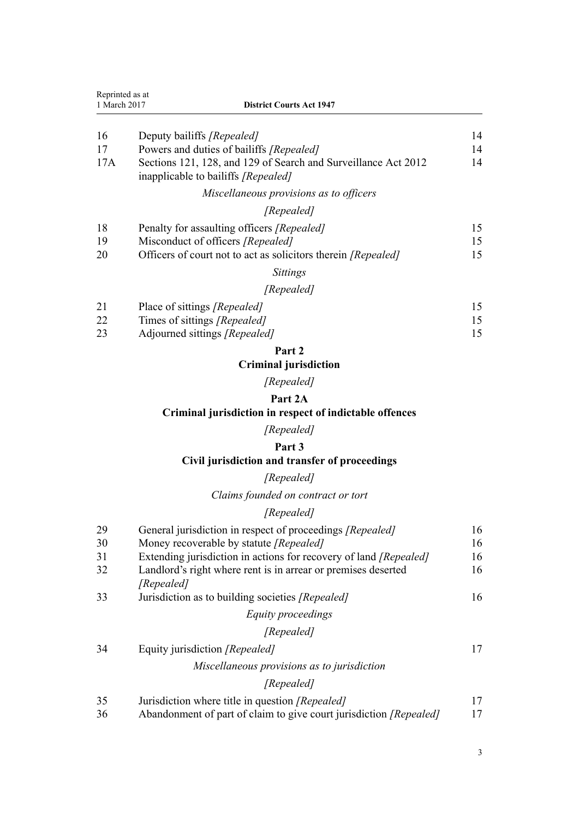|              | Reprinted as at                                                                                       |    |
|--------------|-------------------------------------------------------------------------------------------------------|----|
| 1 March 2017 | <b>District Courts Act 1947</b>                                                                       |    |
| 16           | Deputy bailiffs [Repealed]                                                                            | 14 |
| 17           | Powers and duties of bailiffs <i>[Repealed]</i>                                                       | 14 |
| 17A          | Sections 121, 128, and 129 of Search and Surveillance Act 2012<br>inapplicable to bailiffs [Repealed] | 14 |
|              | Miscellaneous provisions as to officers                                                               |    |
|              | [Repealed]                                                                                            |    |
| 18           | Penalty for assaulting officers <i>[Repealed]</i>                                                     | 15 |
| 19           | Misconduct of officers [Repealed]                                                                     | 15 |
| 20           | Officers of court not to act as solicitors therein <i>[Repealed]</i>                                  | 15 |
|              | <b>Sittings</b>                                                                                       |    |
|              | [Repealed]                                                                                            |    |
| 21           | Place of sittings [Repealed]                                                                          | 15 |

| $\sim$ 1 | $\frac{1}{2}$ and $\frac{1}{2}$ and $\frac{1}{2}$ and $\frac{1}{2}$ are possible $\frac{1}{2}$ |  |
|----------|------------------------------------------------------------------------------------------------|--|
|          | Times of sittings <i>[Repealed]</i>                                                            |  |
| 23       | Adjourned sittings [Repealed]                                                                  |  |

## **[Criminal jurisdiction](#page-14-0)**

*[Repealed]*

## **[Part 2A](#page-15-0)**

## **[Criminal jurisdiction in respect of indictable offences](#page-15-0)**

## *[Repealed]*

## **[Part 3](#page-15-0)**

## **[Civil jurisdiction and transfer of proceedings](#page-15-0)**

## *[Repealed]*

*[Claims founded on contract or tort](#page-15-0)*

## *[Repealed]*

| 29 | General jurisdiction in respect of proceedings [Repealed]                   | 16 |
|----|-----------------------------------------------------------------------------|----|
| 30 | Money recoverable by statute [Repealed]                                     | 16 |
| 31 | Extending jurisdiction in actions for recovery of land [Repealed]           | 16 |
| 32 | Landlord's right where rent is in arrear or premises deserted<br>[Repealed] | 16 |
| 33 | Jurisdiction as to building societies [Repealed]                            | 16 |
|    | Equity proceedings                                                          |    |
|    | [Repealed]                                                                  |    |
| 34 | Equity jurisdiction <i>[Repealed]</i>                                       | 17 |
|    | Miscellaneous provisions as to jurisdiction                                 |    |
|    | [Repealed]                                                                  |    |
| 35 | Jurisdiction where title in question [Repealed]                             | 17 |
| 36 | Abandonment of part of claim to give court jurisdiction [Repealed]          | 17 |
|    |                                                                             |    |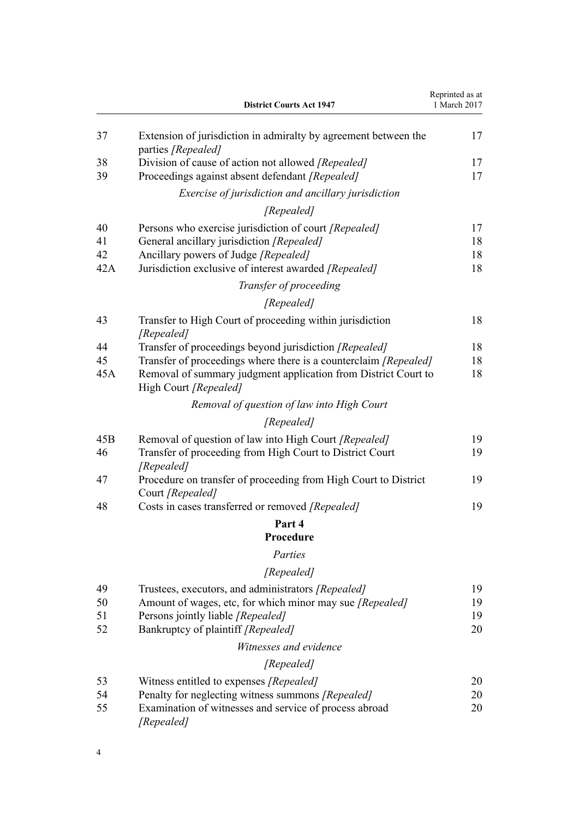|     | <b>District Courts Act 1947</b>                                                         | Reprinted as at<br>1 March 2017 |
|-----|-----------------------------------------------------------------------------------------|---------------------------------|
| 37  | Extension of jurisdiction in admiralty by agreement between the<br>parties [Repealed]   | 17                              |
| 38  | Division of cause of action not allowed [Repealed]                                      | 17                              |
| 39  | Proceedings against absent defendant [Repealed]                                         | 17                              |
|     | Exercise of jurisdiction and ancillary jurisdiction                                     |                                 |
|     | [Repealed]                                                                              |                                 |
| 40  | Persons who exercise jurisdiction of court [Repealed]                                   | 17                              |
| 41  | General ancillary jurisdiction [Repealed]                                               | 18                              |
| 42  | Ancillary powers of Judge [Repealed]                                                    | 18                              |
| 42A | Jurisdiction exclusive of interest awarded [Repealed]                                   | 18                              |
|     | Transfer of proceeding                                                                  |                                 |
|     | [Repealed]                                                                              |                                 |
| 43  | Transfer to High Court of proceeding within jurisdiction<br>[Repealed]                  | 18                              |
| 44  | Transfer of proceedings beyond jurisdiction [Repealed]                                  | 18                              |
| 45  | Transfer of proceedings where there is a counterclaim [Repealed]                        | 18                              |
| 45A | Removal of summary judgment application from District Court to<br>High Court [Repealed] | 18                              |
|     | Removal of question of law into High Court                                              |                                 |
|     | [Repealed]                                                                              |                                 |
| 45B | Removal of question of law into High Court [Repealed]                                   | 19                              |
| 46  | Transfer of proceeding from High Court to District Court<br>[Repealed]                  | 19                              |
| 47  | Procedure on transfer of proceeding from High Court to District<br>Court [Repealed]     | 19                              |
| 48  | Costs in cases transferred or removed [Repealed]                                        | 19                              |
|     | Part 4                                                                                  |                                 |
|     | Procedure                                                                               |                                 |
|     | Parties                                                                                 |                                 |
|     | [Repealed]                                                                              |                                 |
| 49  | Trustees, executors, and administrators [Repealed]                                      | 19                              |
| 50  | Amount of wages, etc, for which minor may sue [Repealed]                                | 19                              |
| 51  | Persons jointly liable [Repealed]                                                       | 19                              |
| 52  | Bankruptcy of plaintiff [Repealed]                                                      | 20                              |
|     | Witnesses and evidence                                                                  |                                 |
|     | [Repealed]                                                                              |                                 |
| 53  | Witness entitled to expenses [Repealed]                                                 | 20                              |
| 54  | Penalty for neglecting witness summons [Repealed]                                       | 20                              |
| 55  | Examination of witnesses and service of process abroad<br>[Repealed]                    | 20                              |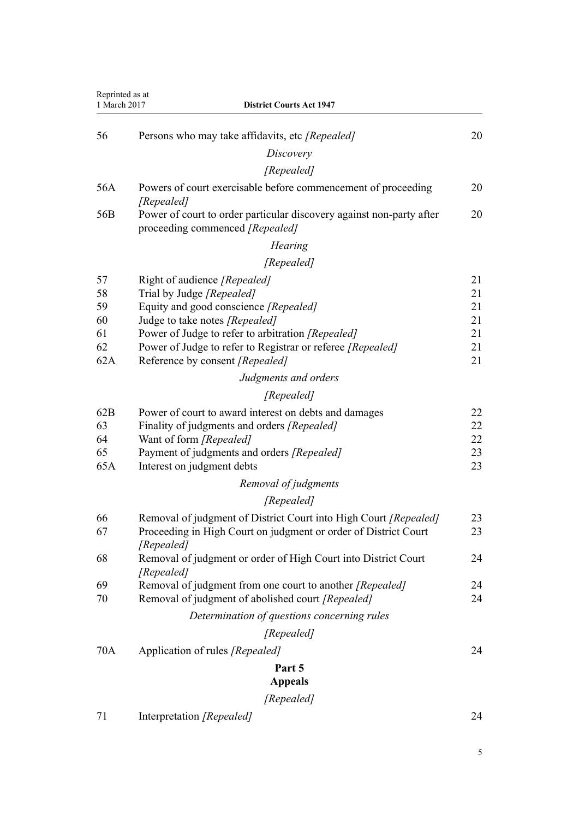| Reprinted as at<br>1 March 2017 | <b>District Courts Act 1947</b>                                                                         |    |
|---------------------------------|---------------------------------------------------------------------------------------------------------|----|
| 56                              | Persons who may take affidavits, etc [Repealed]                                                         | 20 |
|                                 | Discovery                                                                                               |    |
|                                 | [Repealed]                                                                                              |    |
| 56A                             | Powers of court exercisable before commencement of proceeding                                           | 20 |
|                                 | [Repealed]                                                                                              |    |
| 56 <sub>B</sub>                 | Power of court to order particular discovery against non-party after<br>proceeding commenced [Repealed] | 20 |
|                                 | <b>Hearing</b>                                                                                          |    |
|                                 | [Repealed]                                                                                              |    |
| 57                              | Right of audience [Repealed]                                                                            | 21 |
| 58                              | Trial by Judge [Repealed]                                                                               | 21 |
| 59                              | Equity and good conscience [Repealed]                                                                   | 21 |
| 60                              | Judge to take notes [Repealed]                                                                          | 21 |
| 61                              | Power of Judge to refer to arbitration [Repealed]                                                       | 21 |
| 62                              | Power of Judge to refer to Registrar or referee [Repealed]                                              | 21 |
| 62A                             | Reference by consent [Repealed]                                                                         | 21 |
|                                 | Judgments and orders                                                                                    |    |
|                                 | [Repealed]                                                                                              |    |
| 62B                             | Power of court to award interest on debts and damages                                                   | 22 |
| 63                              | Finality of judgments and orders [Repealed]                                                             | 22 |
| 64                              | Want of form [Repealed]                                                                                 | 22 |
| 65                              | Payment of judgments and orders [Repealed]                                                              | 23 |
| 65A                             | Interest on judgment debts                                                                              | 23 |
|                                 | Removal of judgments                                                                                    |    |
|                                 | [Repealed]                                                                                              |    |
| 66                              | Removal of judgment of District Court into High Court [Repealed]                                        | 23 |
| 67                              | Proceeding in High Court on judgment or order of District Court<br>[Repealed]                           | 23 |
| 68                              | Removal of judgment or order of High Court into District Court<br>[Repealed]                            | 24 |
| 69                              | Removal of judgment from one court to another [Repealed]                                                | 24 |
| 70                              | Removal of judgment of abolished court [Repealed]                                                       | 24 |
|                                 | Determination of questions concerning rules                                                             |    |
|                                 | [Repealed]                                                                                              |    |
| 70A                             | Application of rules [Repealed]                                                                         | 24 |
|                                 | Part 5                                                                                                  |    |
|                                 | <b>Appeals</b>                                                                                          |    |
|                                 | [Repealed]                                                                                              |    |
| 71                              | Interpretation [Repealed]                                                                               | 24 |
|                                 |                                                                                                         |    |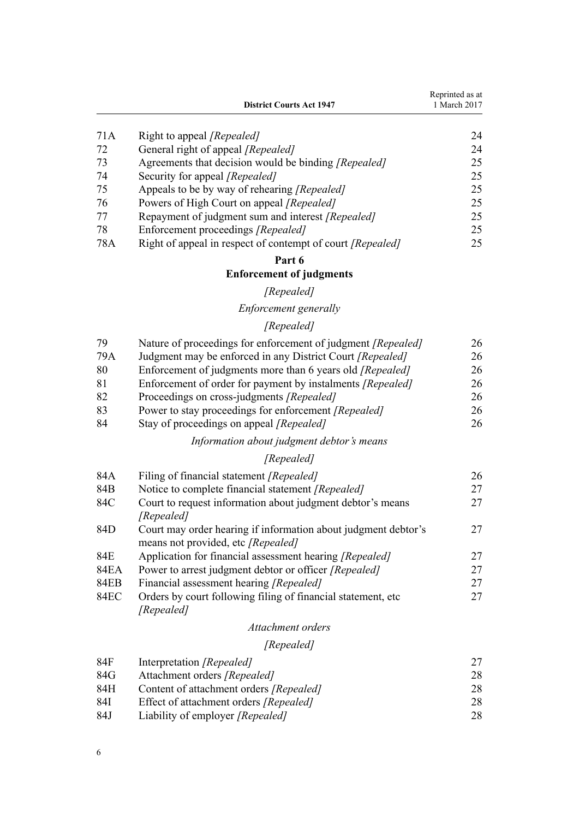|     | <b>District Courts Act 1947</b>                            | Reprinted as at<br>1 March 2017 |
|-----|------------------------------------------------------------|---------------------------------|
| 71A | Right to appeal <i>[Repealed]</i>                          | 24                              |
| 72  | General right of appeal [Repealed]                         | 24                              |
| 73  | Agreements that decision would be binding [Repealed]       | 25                              |
| 74  | Security for appeal <i>[Repealed]</i>                      | 25                              |
| 75  | Appeals to be by way of rehearing [Repealed]               | 25                              |
| 76  | Powers of High Court on appeal [Repealed]                  | 25                              |
| 77  | Repayment of judgment sum and interest [Repealed]          | 25                              |
| 78  | Enforcement proceedings [Repealed]                         | 25                              |
| 78A | Right of appeal in respect of contempt of court [Repealed] | 25                              |

## **[Enforcement of judgments](#page-24-0)**

## *[Repealed]*

# *[Enforcement generally](#page-24-0)*

## *[Repealed]*

| 79  | Nature of proceedings for enforcement of judgment <i>[Repealed]</i> | 26 |
|-----|---------------------------------------------------------------------|----|
| 79A | Judgment may be enforced in any District Court [Repealed]           | 26 |
| 80  | Enforcement of judgments more than 6 years old <i>[Repealed]</i>    | 26 |
| 81  | Enforcement of order for payment by instalments [Repealed]          | 26 |
| 82  | Proceedings on cross-judgments [Repealed]                           | 26 |
| 83  | Power to stay proceedings for enforcement [Repealed]                | 26 |

[84](#page-25-0) [Stay of proceedings on appeal](#page-25-0) *[Repealed]* [26](#page-25-0)

## *[Information about judgment debtor's means](#page-25-0)*

# *[Repealed]*

| 84A         | Filing of financial statement [Repealed]                       | 26 |
|-------------|----------------------------------------------------------------|----|
| 84B         | Notice to complete financial statement [Repealed]              | 27 |
| 84C         | Court to request information about judgment debtor's means     | 27 |
|             | [Repealed]                                                     |    |
| 84D         | Court may order hearing if information about judgment debtor's | 27 |
|             | means not provided, etc [Repealed]                             |    |
| 84E         | Application for financial assessment hearing [Repealed]        | 27 |
| 84EA        | Power to arrest judgment debtor or officer [Repealed]          | 27 |
| <b>84EB</b> | Financial assessment hearing [Repealed]                        | 27 |
| <b>84EC</b> | Orders by court following filing of financial statement, etc.  | 27 |
|             | [Repealed]                                                     |    |
|             |                                                                |    |

## *[Attachment orders](#page-26-0)*

## *[Repealed]*

| 84F | Interpretation [Repealed]                     |    |
|-----|-----------------------------------------------|----|
| 84G | Attachment orders [Repealed]                  | 28 |
| 84H | Content of attachment orders [Repealed]       | 28 |
| 84I | Effect of attachment orders <i>[Repealed]</i> | 28 |
| 84J | Liability of employer [Repealed]              | 28 |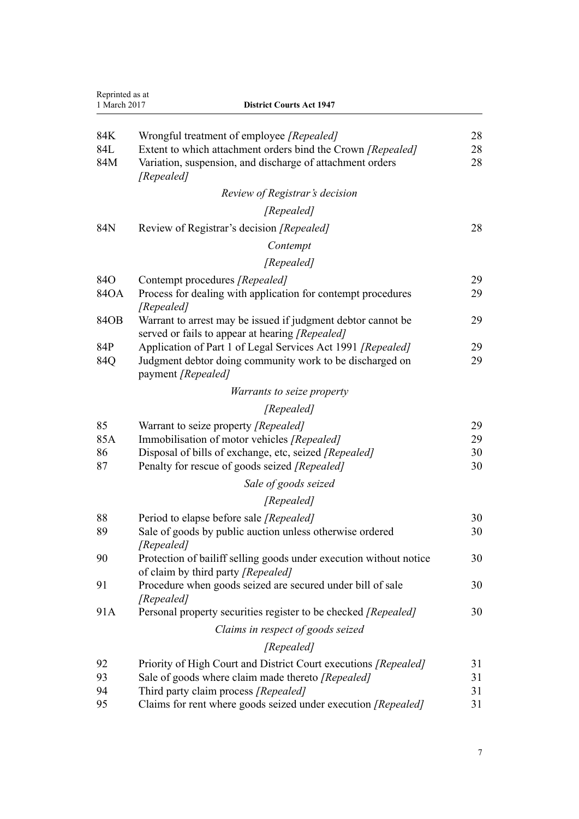| Reprinted as at<br>1 March 2017 | <b>District Courts Act 1947</b>                                                                                                                                                               |                      |
|---------------------------------|-----------------------------------------------------------------------------------------------------------------------------------------------------------------------------------------------|----------------------|
| 84K<br>84L<br>84M               | Wrongful treatment of employee [Repealed]<br>Extent to which attachment orders bind the Crown [Repealed]<br>Variation, suspension, and discharge of attachment orders<br>[Repealed]           | 28<br>28<br>28       |
|                                 | Review of Registrar's decision                                                                                                                                                                |                      |
|                                 | [Repealed]                                                                                                                                                                                    |                      |
| 84N                             | Review of Registrar's decision [Repealed]                                                                                                                                                     | 28                   |
|                                 | Contempt                                                                                                                                                                                      |                      |
|                                 | [Repealed]                                                                                                                                                                                    |                      |
| 84O                             | Contempt procedures [Repealed]                                                                                                                                                                | 29                   |
| 84OA                            | Process for dealing with application for contempt procedures<br>[Repealed]                                                                                                                    | 29                   |
| 84OB                            | Warrant to arrest may be issued if judgment debtor cannot be<br>served or fails to appear at hearing [Repealed]                                                                               | 29                   |
| 84P                             | Application of Part 1 of Legal Services Act 1991 [Repealed]                                                                                                                                   | 29                   |
| 84Q                             | Judgment debtor doing community work to be discharged on<br>payment [Repealed]                                                                                                                | 29                   |
|                                 | <i>Warrants to seize property</i>                                                                                                                                                             |                      |
|                                 | [Repealed]                                                                                                                                                                                    |                      |
| 85<br>85A<br>86<br>87           | Warrant to seize property [Repealed]<br>Immobilisation of motor vehicles [Repealed]<br>Disposal of bills of exchange, etc, seized [Repealed]<br>Penalty for rescue of goods seized [Repealed] | 29<br>29<br>30<br>30 |
|                                 | Sale of goods seized                                                                                                                                                                          |                      |
|                                 | [Repealed]                                                                                                                                                                                    |                      |
| 88                              | Period to elapse before sale [Repealed]                                                                                                                                                       | 30                   |
| 89                              | Sale of goods by public auction unless otherwise ordered<br>[Repealed]                                                                                                                        | 30                   |
| 90                              | Protection of bailiff selling goods under execution without notice<br>of claim by third party [Repealed]                                                                                      | 30                   |
| 91                              | Procedure when goods seized are secured under bill of sale<br>[Repealed]                                                                                                                      | 30                   |
| 91A                             | Personal property securities register to be checked [Repealed]                                                                                                                                | 30                   |
|                                 | Claims in respect of goods seized                                                                                                                                                             |                      |
|                                 | [Repealed]                                                                                                                                                                                    |                      |
| 92                              | Priority of High Court and District Court executions [Repealed]                                                                                                                               | 31                   |
| 93                              | Sale of goods where claim made thereto [Repealed]                                                                                                                                             | 31                   |
| 94<br>95                        | Third party claim process [Repealed]<br>Claims for rent where goods seized under execution [Repealed]                                                                                         | 31<br>31             |
|                                 |                                                                                                                                                                                               |                      |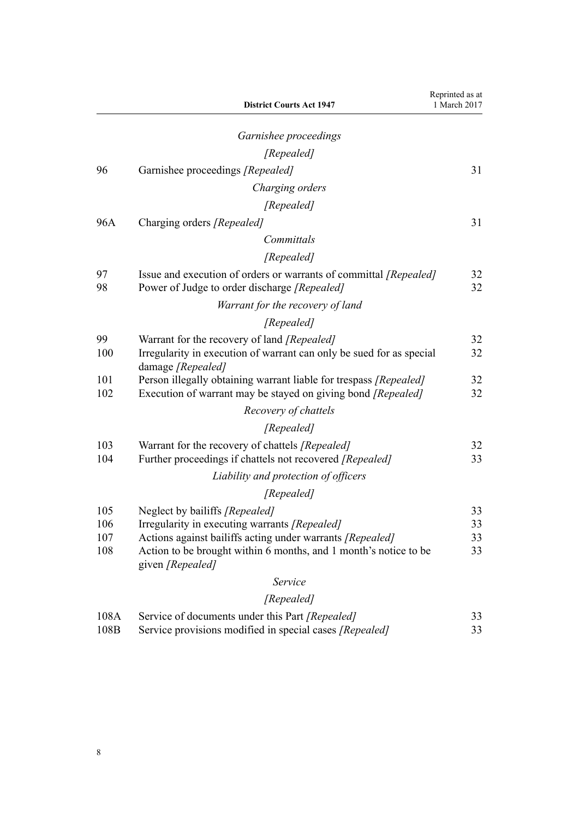|                          | <b>District Courts Act 1947</b>                                                                                                                                                                                                      | Reprinted as at<br>1 March 2017 |
|--------------------------|--------------------------------------------------------------------------------------------------------------------------------------------------------------------------------------------------------------------------------------|---------------------------------|
|                          | Garnishee proceedings                                                                                                                                                                                                                |                                 |
|                          | [Repealed]                                                                                                                                                                                                                           |                                 |
| 96                       | Garnishee proceedings [Repealed]                                                                                                                                                                                                     | 31                              |
|                          | Charging orders                                                                                                                                                                                                                      |                                 |
|                          | [Repealed]                                                                                                                                                                                                                           |                                 |
| 96A                      | Charging orders [Repealed]                                                                                                                                                                                                           | 31                              |
|                          | Committals                                                                                                                                                                                                                           |                                 |
|                          | [Repealed]                                                                                                                                                                                                                           |                                 |
| 97<br>98                 | Issue and execution of orders or warrants of committal [Repealed]<br>Power of Judge to order discharge [Repealed]                                                                                                                    | 32<br>32                        |
|                          | Warrant for the recovery of land                                                                                                                                                                                                     |                                 |
|                          | [Repealed]                                                                                                                                                                                                                           |                                 |
| 99<br>100                | Warrant for the recovery of land [Repealed]<br>Irregularity in execution of warrant can only be sued for as special<br>damage [Repealed]                                                                                             | 32<br>32                        |
| 101<br>102               | Person illegally obtaining warrant liable for trespass [Repealed]<br>Execution of warrant may be stayed on giving bond [Repealed]                                                                                                    | 32<br>32                        |
|                          | Recovery of chattels                                                                                                                                                                                                                 |                                 |
|                          | [Repealed]                                                                                                                                                                                                                           |                                 |
| 103<br>104               | Warrant for the recovery of chattels [Repealed]<br>Further proceedings if chattels not recovered [Repealed]                                                                                                                          | 32<br>33                        |
|                          | Liability and protection of officers                                                                                                                                                                                                 |                                 |
|                          | [Repealed]                                                                                                                                                                                                                           |                                 |
| 105<br>106<br>107<br>108 | Neglect by bailiffs [Repealed]<br>Irregularity in executing warrants [Repealed]<br>Actions against bailiffs acting under warrants [Repealed]<br>Action to be brought within 6 months, and 1 month's notice to be<br>given [Repealed] | 33<br>33<br>33<br>33            |
|                          | Service                                                                                                                                                                                                                              |                                 |
|                          | [Repealed]                                                                                                                                                                                                                           |                                 |
| 108A<br>108B             | Service of documents under this Part [Repealed]<br>Service provisions modified in special cases [Repealed]                                                                                                                           | 33<br>33                        |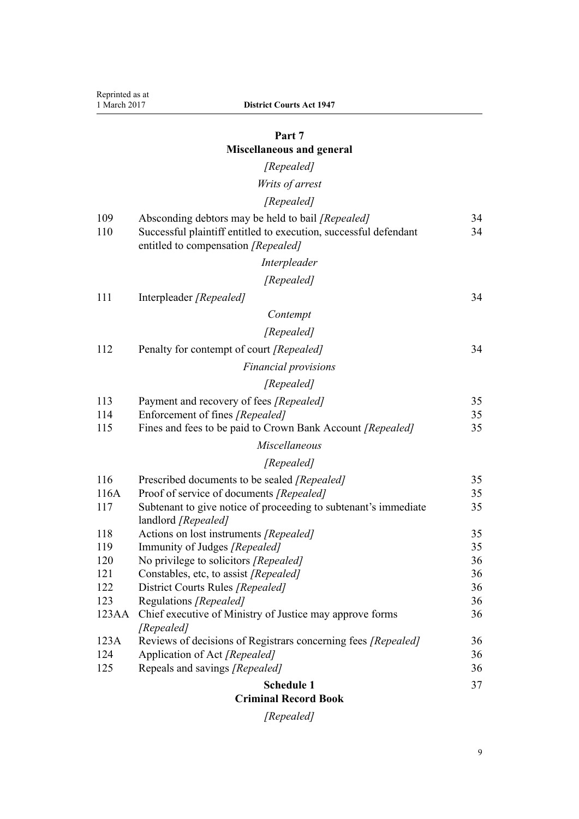# **[Miscellaneous and general](#page-33-0)**

# *[Repealed]*

# *[Writs of arrest](#page-33-0)*

# *[Repealed]*

| <b>Criminal Record Book</b> |                                                                         |    |
|-----------------------------|-------------------------------------------------------------------------|----|
|                             | <b>Schedule 1</b>                                                       | 37 |
| 125                         | Repeals and savings [Repealed]                                          | 36 |
| 124                         | Application of Act [Repealed]                                           | 36 |
| 123A                        | Reviews of decisions of Registrars concerning fees [Repealed]           | 36 |
|                             | [Repealed]                                                              |    |
| 123AA                       | Chief executive of Ministry of Justice may approve forms                | 36 |
| 123                         | Regulations [Repealed]                                                  | 36 |
| 122                         | District Courts Rules [Repealed]                                        | 36 |
| 121                         | Constables, etc, to assist [Repealed]                                   | 36 |
| 120                         | No privilege to solicitors [Repealed]                                   | 36 |
| 119                         | Actions on lost instruments [Repealed]<br>Immunity of Judges [Repealed] | 35 |
| 118                         | landlord [Repealed]                                                     | 35 |
| 117                         | Subtenant to give notice of proceeding to subtenant's immediate         | 35 |
| 116A                        | Proof of service of documents [Repealed]                                | 35 |
| 116                         | Prescribed documents to be sealed [Repealed]                            | 35 |
|                             | [Repealed]                                                              |    |
|                             | Miscellaneous                                                           |    |
| 115                         | Fines and fees to be paid to Crown Bank Account [Repealed]              | 35 |
| 114                         | Enforcement of fines [Repealed]                                         | 35 |
| 113                         | Payment and recovery of fees [Repealed]                                 | 35 |
|                             | [Repealed]                                                              |    |
|                             | <b>Financial provisions</b>                                             |    |
| 112                         | Penalty for contempt of court [Repealed]                                | 34 |
|                             | [Repealed]                                                              |    |
|                             | Contempt                                                                |    |
| 111                         | Interpleader [Repealed]                                                 | 34 |
|                             | [Repealed]                                                              |    |
|                             | Interpleader                                                            |    |
|                             | entitled to compensation [Repealed]                                     |    |
| 110                         | Successful plaintiff entitled to execution, successful defendant        | 34 |
| 109                         | Absconding debtors may be held to bail [Repealed]                       | 34 |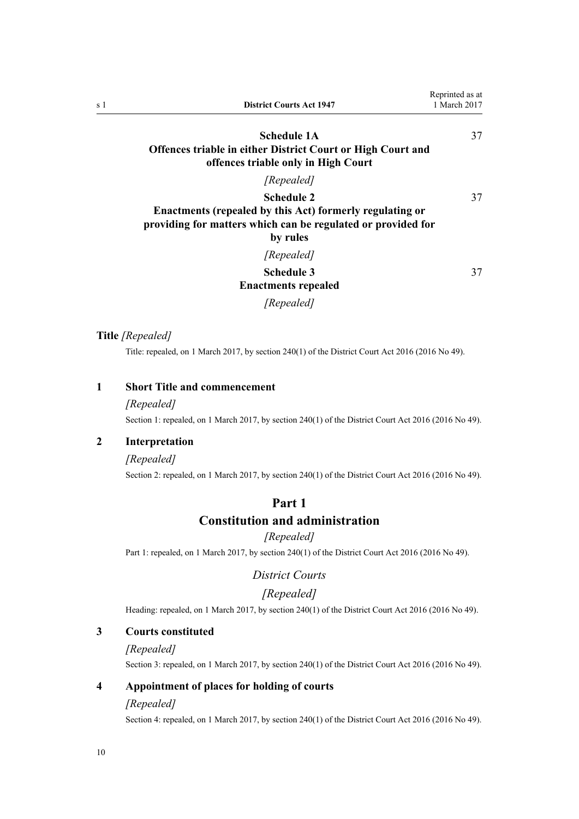<span id="page-9-0"></span>

| s 1 | <b>District Courts Act 1947</b>                                                                                                      | Reprinted as at<br>1 March 2017 |
|-----|--------------------------------------------------------------------------------------------------------------------------------------|---------------------------------|
|     | Schedule 1A<br><b>Offences triable in either District Court or High Court and</b>                                                    | 37                              |
|     | offences triable only in High Court                                                                                                  |                                 |
|     | [Repealed]                                                                                                                           |                                 |
|     | <b>Schedule 2</b>                                                                                                                    | 37                              |
|     | Enactments (repealed by this Act) formerly regulating or<br>providing for matters which can be regulated or provided for<br>by rules |                                 |
|     | [Repealed]                                                                                                                           |                                 |
|     | <b>Schedule 3</b><br><b>Enactments repealed</b>                                                                                      | 37                              |
|     | [Repealed]                                                                                                                           |                                 |

## **Title** *[Repealed]*

Title: repealed, on 1 March 2017, by [section 240\(1\)](http://prd-lgnz-nlb.prd.pco.net.nz/pdflink.aspx?id=DLM6942646) of the District Court Act 2016 (2016 No 49).

## **1 Short Title and commencement**

#### *[Repealed]*

Section 1: repealed, on 1 March 2017, by [section 240\(1\)](http://prd-lgnz-nlb.prd.pco.net.nz/pdflink.aspx?id=DLM6942646) of the District Court Act 2016 (2016 No 49).

## **2 Interpretation**

## *[Repealed]*

Section 2: repealed, on 1 March 2017, by [section 240\(1\)](http://prd-lgnz-nlb.prd.pco.net.nz/pdflink.aspx?id=DLM6942646) of the District Court Act 2016 (2016 No 49).

## **Part 1 Constitution and administration**

#### *[Repealed]*

Part 1: repealed, on 1 March 2017, by [section 240\(1\)](http://prd-lgnz-nlb.prd.pco.net.nz/pdflink.aspx?id=DLM6942646) of the District Court Act 2016 (2016 No 49).

## *District Courts*

## *[Repealed]*

Heading: repealed, on 1 March 2017, by [section 240\(1\)](http://prd-lgnz-nlb.prd.pco.net.nz/pdflink.aspx?id=DLM6942646) of the District Court Act 2016 (2016 No 49).

## **3 Courts constituted**

#### *[Repealed]*

Section 3: repealed, on 1 March 2017, by [section 240\(1\)](http://prd-lgnz-nlb.prd.pco.net.nz/pdflink.aspx?id=DLM6942646) of the District Court Act 2016 (2016 No 49).

## **4 Appointment of places for holding of courts**

### *[Repealed]*

Section 4: repealed, on 1 March 2017, by [section 240\(1\)](http://prd-lgnz-nlb.prd.pco.net.nz/pdflink.aspx?id=DLM6942646) of the District Court Act 2016 (2016 No 49).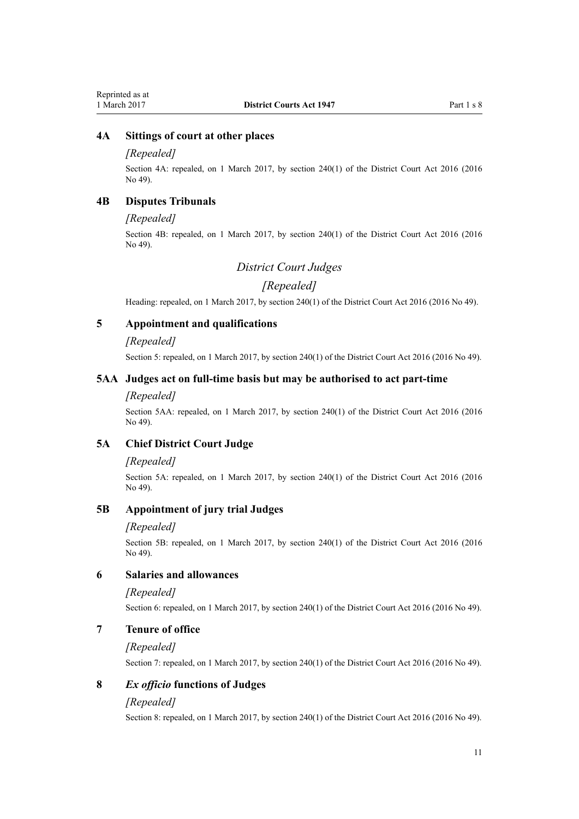## <span id="page-10-0"></span>**4A Sittings of court at other places**

#### *[Repealed]*

Section 4A: repealed, on 1 March 2017, by [section 240\(1\)](http://prd-lgnz-nlb.prd.pco.net.nz/pdflink.aspx?id=DLM6942646) of the District Court Act 2016 (2016) No 49).

## **4B Disputes Tribunals**

#### *[Repealed]*

Section 4B: repealed, on 1 March 2017, by [section 240\(1\)](http://prd-lgnz-nlb.prd.pco.net.nz/pdflink.aspx?id=DLM6942646) of the District Court Act 2016 (2016 No 49).

## *District Court Judges*

## *[Repealed]*

Heading: repealed, on 1 March 2017, by [section 240\(1\)](http://prd-lgnz-nlb.prd.pco.net.nz/pdflink.aspx?id=DLM6942646) of the District Court Act 2016 (2016 No 49).

## **5 Appointment and qualifications**

#### *[Repealed]*

Section 5: repealed, on 1 March 2017, by [section 240\(1\)](http://prd-lgnz-nlb.prd.pco.net.nz/pdflink.aspx?id=DLM6942646) of the District Court Act 2016 (2016 No 49).

## **5AA Judges act on full-time basis but may be authorised to act part-time**

#### *[Repealed]*

Section 5AA: repealed, on 1 March 2017, by [section 240\(1\)](http://prd-lgnz-nlb.prd.pco.net.nz/pdflink.aspx?id=DLM6942646) of the District Court Act 2016 (2016) No 49).

## **5A Chief District Court Judge**

#### *[Repealed]*

Section 5A: repealed, on 1 March 2017, by [section 240\(1\)](http://prd-lgnz-nlb.prd.pco.net.nz/pdflink.aspx?id=DLM6942646) of the District Court Act 2016 (2016) No 49).

## **5B Appointment of jury trial Judges**

#### *[Repealed]*

Section 5B: repealed, on 1 March 2017, by [section 240\(1\)](http://prd-lgnz-nlb.prd.pco.net.nz/pdflink.aspx?id=DLM6942646) of the District Court Act 2016 (2016 No 49).

## **6 Salaries and allowances**

#### *[Repealed]*

Section 6: repealed, on 1 March 2017, by [section 240\(1\)](http://prd-lgnz-nlb.prd.pco.net.nz/pdflink.aspx?id=DLM6942646) of the District Court Act 2016 (2016 No 49).

### **7 Tenure of office**

#### *[Repealed]*

Section 7: repealed, on 1 March 2017, by [section 240\(1\)](http://prd-lgnz-nlb.prd.pco.net.nz/pdflink.aspx?id=DLM6942646) of the District Court Act 2016 (2016 No 49).

#### **8** *Ex officio* **functions of Judges**

#### *[Repealed]*

Section 8: repealed, on 1 March 2017, by [section 240\(1\)](http://prd-lgnz-nlb.prd.pco.net.nz/pdflink.aspx?id=DLM6942646) of the District Court Act 2016 (2016 No 49).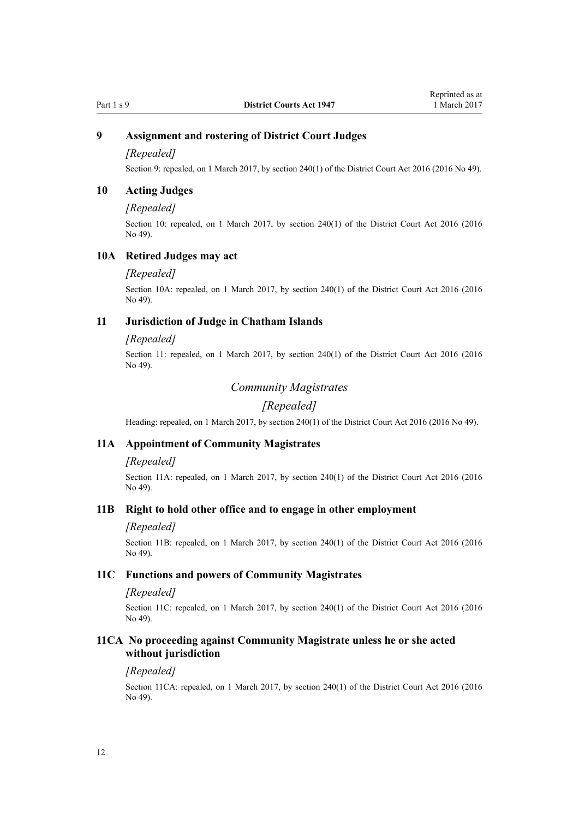## <span id="page-11-0"></span>**9 Assignment and rostering of District Court Judges**

#### *[Repealed]*

Section 9: repealed, on 1 March 2017, by [section 240\(1\)](http://prd-lgnz-nlb.prd.pco.net.nz/pdflink.aspx?id=DLM6942646) of the District Court Act 2016 (2016 No 49).

### **10 Acting Judges**

#### *[Repealed]*

Section 10: repealed, on 1 March 2017, by [section 240\(1\)](http://prd-lgnz-nlb.prd.pco.net.nz/pdflink.aspx?id=DLM6942646) of the District Court Act 2016 (2016 No 49).

### **10A Retired Judges may act**

#### *[Repealed]*

Section 10A: repealed, on 1 March 2017, by [section 240\(1\)](http://prd-lgnz-nlb.prd.pco.net.nz/pdflink.aspx?id=DLM6942646) of the District Court Act 2016 (2016 No 49).

#### **11 Jurisdiction of Judge in Chatham Islands**

#### *[Repealed]*

Section 11: repealed, on 1 March 2017, by [section 240\(1\)](http://prd-lgnz-nlb.prd.pco.net.nz/pdflink.aspx?id=DLM6942646) of the District Court Act 2016 (2016) No 49).

## *Community Magistrates*

## *[Repealed]*

Heading: repealed, on 1 March 2017, by [section 240\(1\)](http://prd-lgnz-nlb.prd.pco.net.nz/pdflink.aspx?id=DLM6942646) of the District Court Act 2016 (2016 No 49).

#### **11A Appointment of Community Magistrates**

#### *[Repealed]*

Section 11A: repealed, on 1 March 2017, by [section 240\(1\)](http://prd-lgnz-nlb.prd.pco.net.nz/pdflink.aspx?id=DLM6942646) of the District Court Act 2016 (2016) No 49).

## **11B Right to hold other office and to engage in other employment**

#### *[Repealed]*

Section 11B: repealed, on 1 March 2017, by [section 240\(1\)](http://prd-lgnz-nlb.prd.pco.net.nz/pdflink.aspx?id=DLM6942646) of the District Court Act 2016 (2016 No 49).

## **11C Functions and powers of Community Magistrates**

### *[Repealed]*

Section 11C: repealed, on 1 March 2017, by [section 240\(1\)](http://prd-lgnz-nlb.prd.pco.net.nz/pdflink.aspx?id=DLM6942646) of the District Court Act 2016 (2016 No 49).

## **11CA No proceeding against Community Magistrate unless he or she acted without jurisdiction**

#### *[Repealed]*

Section 11CA: repealed, on 1 March 2017, by [section 240\(1\)](http://prd-lgnz-nlb.prd.pco.net.nz/pdflink.aspx?id=DLM6942646) of the District Court Act 2016 (2016 No 49).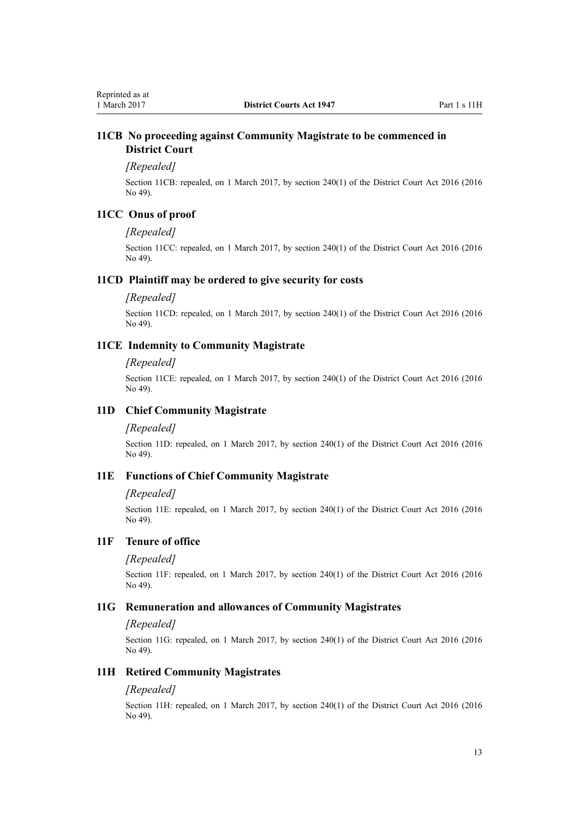## <span id="page-12-0"></span>**11CB No proceeding against Community Magistrate to be commenced in District Court**

#### *[Repealed]*

Section 11CB: repealed, on 1 March 2017, by [section 240\(1\)](http://prd-lgnz-nlb.prd.pco.net.nz/pdflink.aspx?id=DLM6942646) of the District Court Act 2016 (2016 No 49).

## **11CC Onus of proof**

### *[Repealed]*

Section 11CC: repealed, on 1 March 2017, by [section 240\(1\)](http://prd-lgnz-nlb.prd.pco.net.nz/pdflink.aspx?id=DLM6942646) of the District Court Act 2016 (2016 No 49).

#### **11CD Plaintiff may be ordered to give security for costs**

### *[Repealed]*

Section 11CD: repealed, on 1 March 2017, by [section 240\(1\)](http://prd-lgnz-nlb.prd.pco.net.nz/pdflink.aspx?id=DLM6942646) of the District Court Act 2016 (2016 No 49).

## **11CE Indemnity to Community Magistrate**

#### *[Repealed]*

Section 11CE: repealed, on 1 March 2017, by [section 240\(1\)](http://prd-lgnz-nlb.prd.pco.net.nz/pdflink.aspx?id=DLM6942646) of the District Court Act 2016 (2016 No 49).

## **11D Chief Community Magistrate**

#### *[Repealed]*

Section 11D: repealed, on 1 March 2017, by [section 240\(1\)](http://prd-lgnz-nlb.prd.pco.net.nz/pdflink.aspx?id=DLM6942646) of the District Court Act 2016 (2016 No 49).

## **11E Functions of Chief Community Magistrate**

#### *[Repealed]*

Section 11E: repealed, on 1 March 2017, by [section 240\(1\)](http://prd-lgnz-nlb.prd.pco.net.nz/pdflink.aspx?id=DLM6942646) of the District Court Act 2016 (2016 No 49).

## **11F Tenure of office**

### *[Repealed]*

Section 11F: repealed, on 1 March 2017, by [section 240\(1\)](http://prd-lgnz-nlb.prd.pco.net.nz/pdflink.aspx?id=DLM6942646) of the District Court Act 2016 (2016 No 49).

## **11G Remuneration and allowances of Community Magistrates**

#### *[Repealed]*

Section 11G: repealed, on 1 March 2017, by [section 240\(1\)](http://prd-lgnz-nlb.prd.pco.net.nz/pdflink.aspx?id=DLM6942646) of the District Court Act 2016 (2016 No 49).

#### **11H Retired Community Magistrates**

## *[Repealed]*

Section 11H: repealed, on 1 March 2017, by [section 240\(1\)](http://prd-lgnz-nlb.prd.pco.net.nz/pdflink.aspx?id=DLM6942646) of the District Court Act 2016 (2016 No 49).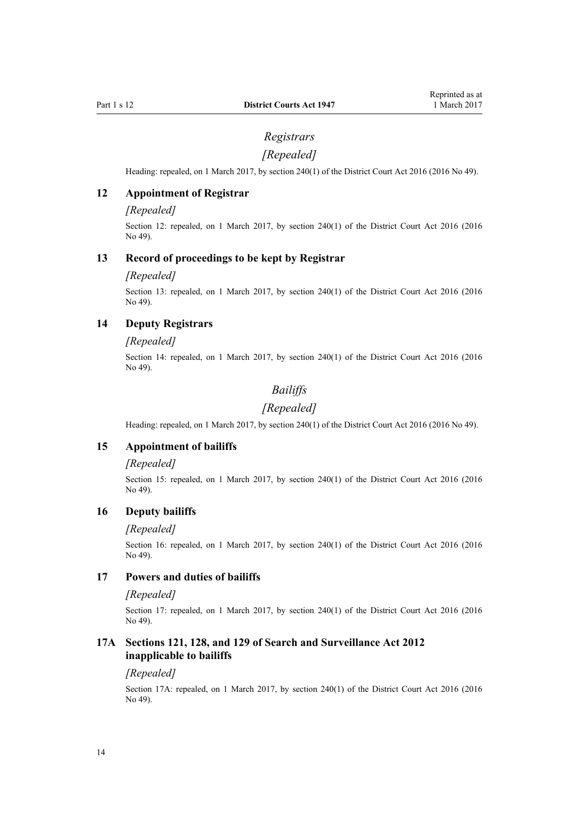## *Registrars*

## *[Repealed]*

<span id="page-13-0"></span>Heading: repealed, on 1 March 2017, by [section 240\(1\)](http://prd-lgnz-nlb.prd.pco.net.nz/pdflink.aspx?id=DLM6942646) of the District Court Act 2016 (2016 No 49).

## **12 Appointment of Registrar**

#### *[Repealed]*

Section 12: repealed, on 1 March 2017, by [section 240\(1\)](http://prd-lgnz-nlb.prd.pco.net.nz/pdflink.aspx?id=DLM6942646) of the District Court Act 2016 (2016 No 49).

## **13 Record of proceedings to be kept by Registrar**

#### *[Repealed]*

Section 13: repealed, on 1 March 2017, by [section 240\(1\)](http://prd-lgnz-nlb.prd.pco.net.nz/pdflink.aspx?id=DLM6942646) of the District Court Act 2016 (2016) No 49).

## **14 Deputy Registrars**

#### *[Repealed]*

Section 14: repealed, on 1 March 2017, by [section 240\(1\)](http://prd-lgnz-nlb.prd.pco.net.nz/pdflink.aspx?id=DLM6942646) of the District Court Act 2016 (2016 No 49).

## *Bailiffs*

## *[Repealed]*

Heading: repealed, on 1 March 2017, by [section 240\(1\)](http://prd-lgnz-nlb.prd.pco.net.nz/pdflink.aspx?id=DLM6942646) of the District Court Act 2016 (2016 No 49).

## **15 Appointment of bailiffs**

#### *[Repealed]*

Section 15: repealed, on 1 March 2017, by [section 240\(1\)](http://prd-lgnz-nlb.prd.pco.net.nz/pdflink.aspx?id=DLM6942646) of the District Court Act 2016 (2016 No 49).

### **16 Deputy bailiffs**

## *[Repealed]*

Section 16: repealed, on 1 March 2017, by [section 240\(1\)](http://prd-lgnz-nlb.prd.pco.net.nz/pdflink.aspx?id=DLM6942646) of the District Court Act 2016 (2016) No 49).

## **17 Powers and duties of bailiffs**

### *[Repealed]*

Section 17: repealed, on 1 March 2017, by [section 240\(1\)](http://prd-lgnz-nlb.prd.pco.net.nz/pdflink.aspx?id=DLM6942646) of the District Court Act 2016 (2016 No 49).

## **17A Sections 121, 128, and 129 of Search and Surveillance Act 2012 inapplicable to bailiffs**

#### *[Repealed]*

Section 17A: repealed, on 1 March 2017, by [section 240\(1\)](http://prd-lgnz-nlb.prd.pco.net.nz/pdflink.aspx?id=DLM6942646) of the District Court Act 2016 (2016 No 49).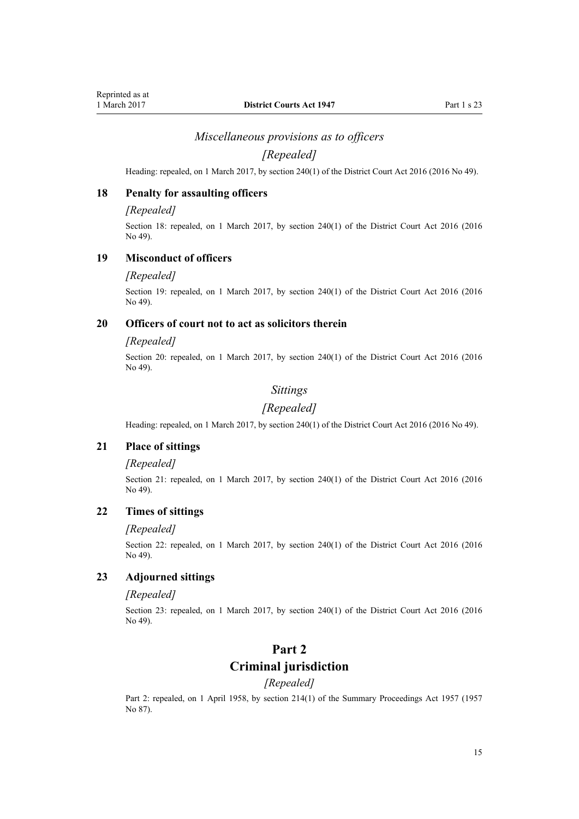## *Miscellaneous provisions as to officers*

## *[Repealed]*

<span id="page-14-0"></span>Heading: repealed, on 1 March 2017, by [section 240\(1\)](http://prd-lgnz-nlb.prd.pco.net.nz/pdflink.aspx?id=DLM6942646) of the District Court Act 2016 (2016 No 49).

## **18 Penalty for assaulting officers**

#### *[Repealed]*

Section 18: repealed, on 1 March 2017, by [section 240\(1\)](http://prd-lgnz-nlb.prd.pco.net.nz/pdflink.aspx?id=DLM6942646) of the District Court Act 2016 (2016 No 49).

### **19 Misconduct of officers**

#### *[Repealed]*

Section 19: repealed, on 1 March 2017, by [section 240\(1\)](http://prd-lgnz-nlb.prd.pco.net.nz/pdflink.aspx?id=DLM6942646) of the District Court Act 2016 (2016) No 49).

## **20 Officers of court not to act as solicitors therein**

#### *[Repealed]*

Section 20: repealed, on 1 March 2017, by [section 240\(1\)](http://prd-lgnz-nlb.prd.pco.net.nz/pdflink.aspx?id=DLM6942646) of the District Court Act 2016 (2016) No 49).

## *Sittings*

#### *[Repealed]*

Heading: repealed, on 1 March 2017, by [section 240\(1\)](http://prd-lgnz-nlb.prd.pco.net.nz/pdflink.aspx?id=DLM6942646) of the District Court Act 2016 (2016 No 49).

## **21 Place of sittings**

### *[Repealed]*

Section 21: repealed, on 1 March 2017, by [section 240\(1\)](http://prd-lgnz-nlb.prd.pco.net.nz/pdflink.aspx?id=DLM6942646) of the District Court Act 2016 (2016 No 49).

## **22 Times of sittings**

#### *[Repealed]*

Section 22: repealed, on 1 March 2017, by [section 240\(1\)](http://prd-lgnz-nlb.prd.pco.net.nz/pdflink.aspx?id=DLM6942646) of the District Court Act 2016 (2016) No 49).

## **23 Adjourned sittings**

### *[Repealed]*

Section 23: repealed, on 1 March 2017, by [section 240\(1\)](http://prd-lgnz-nlb.prd.pco.net.nz/pdflink.aspx?id=DLM6942646) of the District Court Act 2016 (2016 No 49).

## **Part 2**

## **Criminal jurisdiction**

#### *[Repealed]*

Part 2: repealed, on 1 April 1958, by [section 214\(1\)](http://prd-lgnz-nlb.prd.pco.net.nz/pdflink.aspx?id=DLM314306) of the Summary Proceedings Act 1957 (1957) No 87).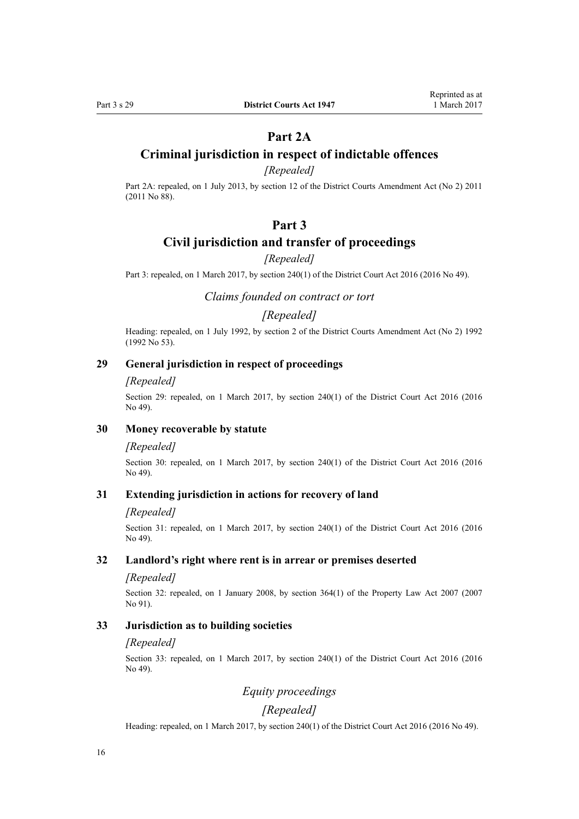## **Part 2A**

## <span id="page-15-0"></span>**Criminal jurisdiction in respect of indictable offences**

## *[Repealed]*

Part 2A: repealed, on 1 July 2013, by [section 12](http://prd-lgnz-nlb.prd.pco.net.nz/pdflink.aspx?id=DLM4058121) of the District Courts Amendment Act (No 2) 2011 (2011 No 88).

## **Part 3**

## **Civil jurisdiction and transfer of proceedings**

## *[Repealed]*

Part 3: repealed, on 1 March 2017, by [section 240\(1\)](http://prd-lgnz-nlb.prd.pco.net.nz/pdflink.aspx?id=DLM6942646) of the District Court Act 2016 (2016 No 49).

*Claims founded on contract or tort*

## *[Repealed]*

Heading: repealed, on 1 July 1992, by section 2 of the District Courts Amendment Act (No 2) 1992 (1992 No 53).

## **29 General jurisdiction in respect of proceedings**

#### *[Repealed]*

Section 29: repealed, on 1 March 2017, by [section 240\(1\)](http://prd-lgnz-nlb.prd.pco.net.nz/pdflink.aspx?id=DLM6942646) of the District Court Act 2016 (2016) No 49).

## **30 Money recoverable by statute**

#### *[Repealed]*

Section 30: repealed, on 1 March 2017, by [section 240\(1\)](http://prd-lgnz-nlb.prd.pco.net.nz/pdflink.aspx?id=DLM6942646) of the District Court Act 2016 (2016 No 49).

#### **31 Extending jurisdiction in actions for recovery of land**

#### *[Repealed]*

Section 31: repealed, on 1 March 2017, by [section 240\(1\)](http://prd-lgnz-nlb.prd.pco.net.nz/pdflink.aspx?id=DLM6942646) of the District Court Act 2016 (2016 No 49).

## **32 Landlord's right where rent is in arrear or premises deserted**

#### *[Repealed]*

Section 32: repealed, on 1 January 2008, by [section 364\(1\)](http://prd-lgnz-nlb.prd.pco.net.nz/pdflink.aspx?id=DLM969644) of the Property Law Act 2007 (2007) No 91).

## **33 Jurisdiction as to building societies**

#### *[Repealed]*

Section 33: repealed, on 1 March 2017, by [section 240\(1\)](http://prd-lgnz-nlb.prd.pco.net.nz/pdflink.aspx?id=DLM6942646) of the District Court Act 2016 (2016 No 49).

## *Equity proceedings*

## *[Repealed]*

Heading: repealed, on 1 March 2017, by [section 240\(1\)](http://prd-lgnz-nlb.prd.pco.net.nz/pdflink.aspx?id=DLM6942646) of the District Court Act 2016 (2016 No 49).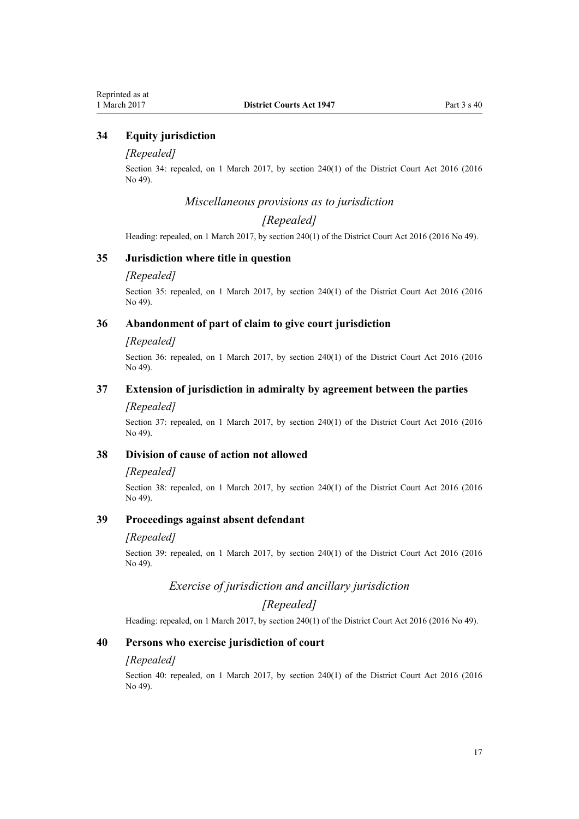## <span id="page-16-0"></span>**34 Equity jurisdiction**

#### *[Repealed]*

Section 34: repealed, on 1 March 2017, by [section 240\(1\)](http://prd-lgnz-nlb.prd.pco.net.nz/pdflink.aspx?id=DLM6942646) of the District Court Act 2016 (2016 No 49).

## *Miscellaneous provisions as to jurisdiction*

## *[Repealed]*

Heading: repealed, on 1 March 2017, by [section 240\(1\)](http://prd-lgnz-nlb.prd.pco.net.nz/pdflink.aspx?id=DLM6942646) of the District Court Act 2016 (2016 No 49).

## **35 Jurisdiction where title in question**

#### *[Repealed]*

Section 35: repealed, on 1 March 2017, by [section 240\(1\)](http://prd-lgnz-nlb.prd.pco.net.nz/pdflink.aspx?id=DLM6942646) of the District Court Act 2016 (2016) No 49).

## **36 Abandonment of part of claim to give court jurisdiction**

#### *[Repealed]*

Section 36: repealed, on 1 March 2017, by [section 240\(1\)](http://prd-lgnz-nlb.prd.pco.net.nz/pdflink.aspx?id=DLM6942646) of the District Court Act 2016 (2016 No 49).

## **37 Extension of jurisdiction in admiralty by agreement between the parties**

#### *[Repealed]*

Section 37: repealed, on 1 March 2017, by [section 240\(1\)](http://prd-lgnz-nlb.prd.pco.net.nz/pdflink.aspx?id=DLM6942646) of the District Court Act 2016 (2016) No 49).

### **38 Division of cause of action not allowed**

#### *[Repealed]*

Section 38: repealed, on 1 March 2017, by [section 240\(1\)](http://prd-lgnz-nlb.prd.pco.net.nz/pdflink.aspx?id=DLM6942646) of the District Court Act 2016 (2016 No 49).

## **39 Proceedings against absent defendant**

#### *[Repealed]*

Section 39: repealed, on 1 March 2017, by [section 240\(1\)](http://prd-lgnz-nlb.prd.pco.net.nz/pdflink.aspx?id=DLM6942646) of the District Court Act 2016 (2016) No 49).

#### *Exercise of jurisdiction and ancillary jurisdiction*

## *[Repealed]*

Heading: repealed, on 1 March 2017, by [section 240\(1\)](http://prd-lgnz-nlb.prd.pco.net.nz/pdflink.aspx?id=DLM6942646) of the District Court Act 2016 (2016 No 49).

#### **40 Persons who exercise jurisdiction of court**

#### *[Repealed]*

Section 40: repealed, on 1 March 2017, by [section 240\(1\)](http://prd-lgnz-nlb.prd.pco.net.nz/pdflink.aspx?id=DLM6942646) of the District Court Act 2016 (2016 No 49).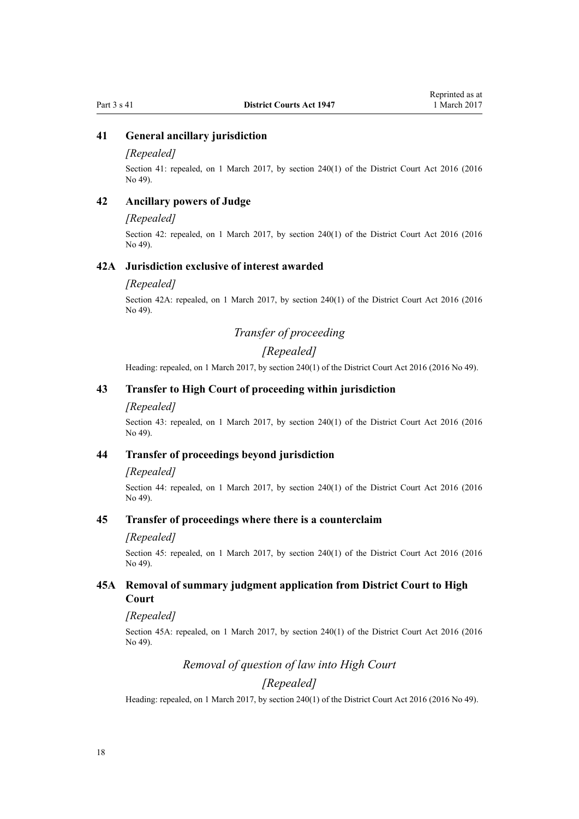## <span id="page-17-0"></span>**41 General ancillary jurisdiction**

#### *[Repealed]*

Section 41: repealed, on 1 March 2017, by [section 240\(1\)](http://prd-lgnz-nlb.prd.pco.net.nz/pdflink.aspx?id=DLM6942646) of the District Court Act 2016 (2016 No 49).

## **42 Ancillary powers of Judge**

### *[Repealed]*

Section 42: repealed, on 1 March 2017, by [section 240\(1\)](http://prd-lgnz-nlb.prd.pco.net.nz/pdflink.aspx?id=DLM6942646) of the District Court Act 2016 (2016) No 49).

### **42A Jurisdiction exclusive of interest awarded**

### *[Repealed]*

Section 42A: repealed, on 1 March 2017, by [section 240\(1\)](http://prd-lgnz-nlb.prd.pco.net.nz/pdflink.aspx?id=DLM6942646) of the District Court Act 2016 (2016 No 49).

## *Transfer of proceeding*

## *[Repealed]*

Heading: repealed, on 1 March 2017, by [section 240\(1\)](http://prd-lgnz-nlb.prd.pco.net.nz/pdflink.aspx?id=DLM6942646) of the District Court Act 2016 (2016 No 49).

## **43 Transfer to High Court of proceeding within jurisdiction**

#### *[Repealed]*

Section 43: repealed, on 1 March 2017, by [section 240\(1\)](http://prd-lgnz-nlb.prd.pco.net.nz/pdflink.aspx?id=DLM6942646) of the District Court Act 2016 (2016 No 49).

## **44 Transfer of proceedings beyond jurisdiction**

#### *[Repealed]*

Section 44: repealed, on 1 March 2017, by [section 240\(1\)](http://prd-lgnz-nlb.prd.pco.net.nz/pdflink.aspx?id=DLM6942646) of the District Court Act 2016 (2016 No 49).

## **45 Transfer of proceedings where there is a counterclaim**

### *[Repealed]*

Section 45: repealed, on 1 March 2017, by [section 240\(1\)](http://prd-lgnz-nlb.prd.pco.net.nz/pdflink.aspx?id=DLM6942646) of the District Court Act 2016 (2016) No 49).

## **45A Removal of summary judgment application from District Court to High Court**

#### *[Repealed]*

Section 45A: repealed, on 1 March 2017, by [section 240\(1\)](http://prd-lgnz-nlb.prd.pco.net.nz/pdflink.aspx?id=DLM6942646) of the District Court Act 2016 (2016 No 49).

## *Removal of question of law into High Court*

## *[Repealed]*

Heading: repealed, on 1 March 2017, by [section 240\(1\)](http://prd-lgnz-nlb.prd.pco.net.nz/pdflink.aspx?id=DLM6942646) of the District Court Act 2016 (2016 No 49).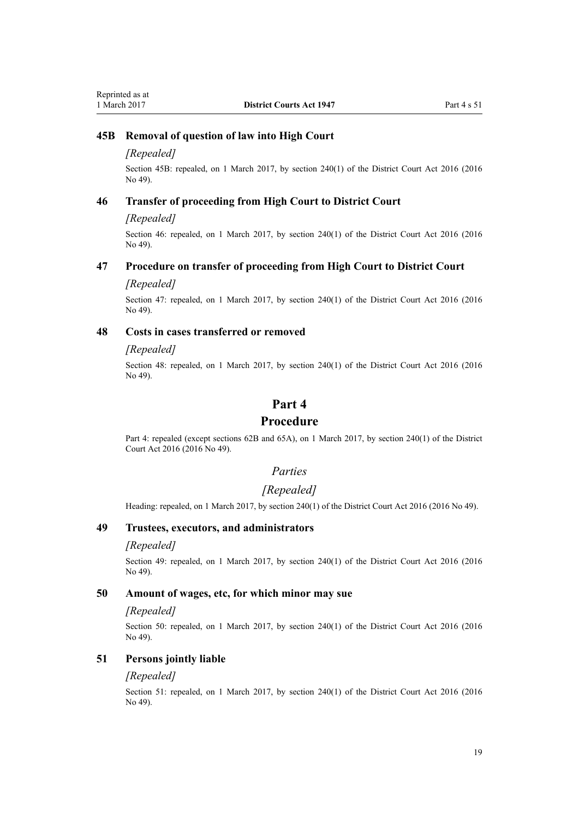## <span id="page-18-0"></span>**45B Removal of question of law into High Court**

### *[Repealed]*

Section 45B: repealed, on 1 March 2017, by [section 240\(1\)](http://prd-lgnz-nlb.prd.pco.net.nz/pdflink.aspx?id=DLM6942646) of the District Court Act 2016 (2016 No 49).

### **46 Transfer of proceeding from High Court to District Court**

#### *[Repealed]*

Section 46: repealed, on 1 March 2017, by [section 240\(1\)](http://prd-lgnz-nlb.prd.pco.net.nz/pdflink.aspx?id=DLM6942646) of the District Court Act 2016 (2016) No 49).

### **47 Procedure on transfer of proceeding from High Court to District Court**

#### *[Repealed]*

Section 47: repealed, on 1 March 2017, by [section 240\(1\)](http://prd-lgnz-nlb.prd.pco.net.nz/pdflink.aspx?id=DLM6942646) of the District Court Act 2016 (2016 No 49).

## **48 Costs in cases transferred or removed**

#### *[Repealed]*

Section 48: repealed, on 1 March 2017, by [section 240\(1\)](http://prd-lgnz-nlb.prd.pco.net.nz/pdflink.aspx?id=DLM6942646) of the District Court Act 2016 (2016 No 49).

## **Part 4**

## **Procedure**

Part 4: repealed (except sections 62B and 65A), on 1 March 2017, by [section 240\(1\)](http://prd-lgnz-nlb.prd.pco.net.nz/pdflink.aspx?id=DLM6942646) of the District Court Act 2016 (2016 No 49).

#### *Parties*

### *[Repealed]*

Heading: repealed, on 1 March 2017, by [section 240\(1\)](http://prd-lgnz-nlb.prd.pco.net.nz/pdflink.aspx?id=DLM6942646) of the District Court Act 2016 (2016 No 49).

## **49 Trustees, executors, and administrators**

#### *[Repealed]*

Section 49: repealed, on 1 March 2017, by [section 240\(1\)](http://prd-lgnz-nlb.prd.pco.net.nz/pdflink.aspx?id=DLM6942646) of the District Court Act 2016 (2016 No 49).

### **50 Amount of wages, etc, for which minor may sue**

#### *[Repealed]*

Section 50: repealed, on 1 March 2017, by [section 240\(1\)](http://prd-lgnz-nlb.prd.pco.net.nz/pdflink.aspx?id=DLM6942646) of the District Court Act 2016 (2016) No 49).

## **51 Persons jointly liable**

## *[Repealed]*

Section 51: repealed, on 1 March 2017, by [section 240\(1\)](http://prd-lgnz-nlb.prd.pco.net.nz/pdflink.aspx?id=DLM6942646) of the District Court Act 2016 (2016 No 49).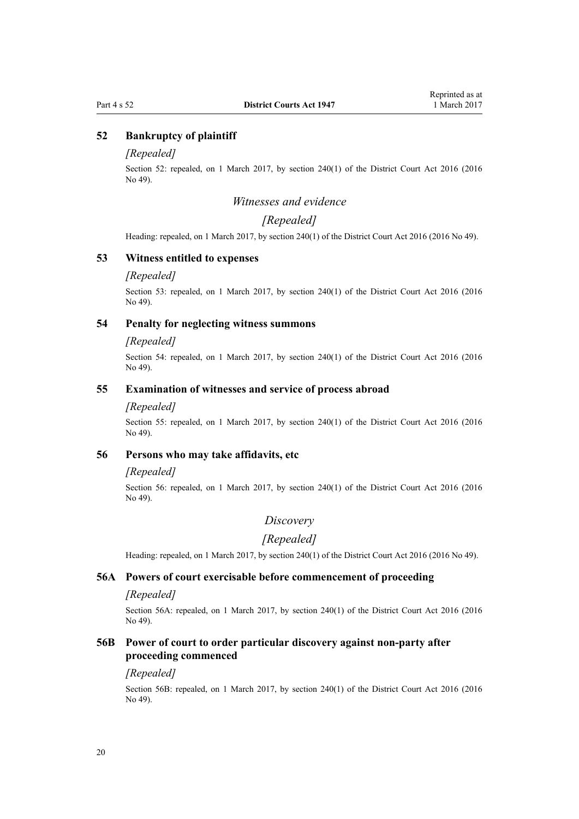### <span id="page-19-0"></span>**52 Bankruptcy of plaintiff**

#### *[Repealed]*

Section 52: repealed, on 1 March 2017, by [section 240\(1\)](http://prd-lgnz-nlb.prd.pco.net.nz/pdflink.aspx?id=DLM6942646) of the District Court Act 2016 (2016 No 49).

## *Witnesses and evidence*

## *[Repealed]*

Heading: repealed, on 1 March 2017, by [section 240\(1\)](http://prd-lgnz-nlb.prd.pco.net.nz/pdflink.aspx?id=DLM6942646) of the District Court Act 2016 (2016 No 49).

## **53 Witness entitled to expenses**

#### *[Repealed]*

Section 53: repealed, on 1 March 2017, by [section 240\(1\)](http://prd-lgnz-nlb.prd.pco.net.nz/pdflink.aspx?id=DLM6942646) of the District Court Act 2016 (2016) No 49).

## **54 Penalty for neglecting witness summons**

#### *[Repealed]*

Section 54: repealed, on 1 March 2017, by [section 240\(1\)](http://prd-lgnz-nlb.prd.pco.net.nz/pdflink.aspx?id=DLM6942646) of the District Court Act 2016 (2016) No 49).

## **55 Examination of witnesses and service of process abroad**

#### *[Repealed]*

Section 55: repealed, on 1 March 2017, by [section 240\(1\)](http://prd-lgnz-nlb.prd.pco.net.nz/pdflink.aspx?id=DLM6942646) of the District Court Act 2016 (2016) No 49).

## **56 Persons who may take affidavits, etc**

#### *[Repealed]*

Section 56: repealed, on 1 March 2017, by [section 240\(1\)](http://prd-lgnz-nlb.prd.pco.net.nz/pdflink.aspx?id=DLM6942646) of the District Court Act 2016 (2016 No 49).

## *Discovery*

## *[Repealed]*

Heading: repealed, on 1 March 2017, by [section 240\(1\)](http://prd-lgnz-nlb.prd.pco.net.nz/pdflink.aspx?id=DLM6942646) of the District Court Act 2016 (2016 No 49).

#### **56A Powers of court exercisable before commencement of proceeding**

### *[Repealed]*

Section 56A: repealed, on 1 March 2017, by [section 240\(1\)](http://prd-lgnz-nlb.prd.pco.net.nz/pdflink.aspx?id=DLM6942646) of the District Court Act 2016 (2016 No 49).

## **56B Power of court to order particular discovery against non-party after proceeding commenced**

#### *[Repealed]*

Section 56B: repealed, on 1 March 2017, by [section 240\(1\)](http://prd-lgnz-nlb.prd.pco.net.nz/pdflink.aspx?id=DLM6942646) of the District Court Act 2016 (2016 No 49).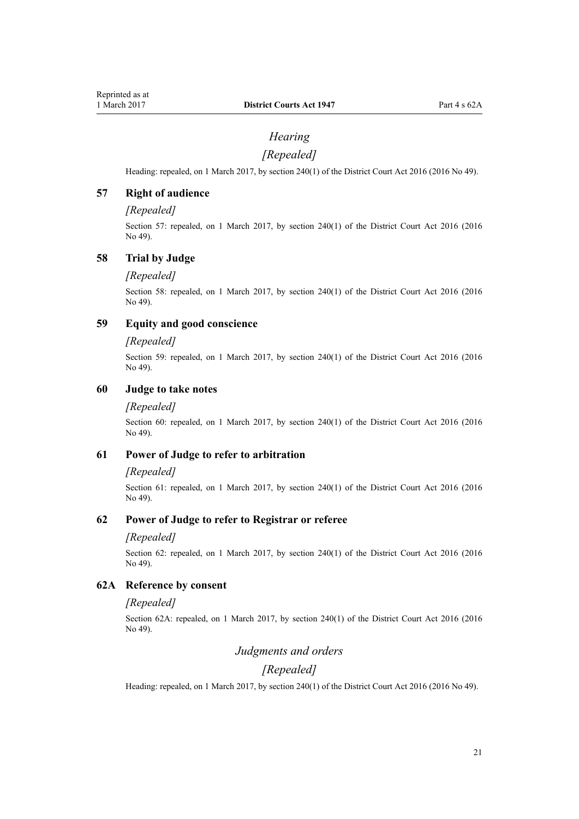## *Hearing*

## *[Repealed]*

<span id="page-20-0"></span>Heading: repealed, on 1 March 2017, by [section 240\(1\)](http://prd-lgnz-nlb.prd.pco.net.nz/pdflink.aspx?id=DLM6942646) of the District Court Act 2016 (2016 No 49).

## **57 Right of audience**

## *[Repealed]*

Section 57: repealed, on 1 March 2017, by [section 240\(1\)](http://prd-lgnz-nlb.prd.pco.net.nz/pdflink.aspx?id=DLM6942646) of the District Court Act 2016 (2016 No 49).

### **58 Trial by Judge**

#### *[Repealed]*

Section 58: repealed, on 1 March 2017, by [section 240\(1\)](http://prd-lgnz-nlb.prd.pco.net.nz/pdflink.aspx?id=DLM6942646) of the District Court Act 2016 (2016 No 49).

## **59 Equity and good conscience**

#### *[Repealed]*

Section 59: repealed, on 1 March 2017, by [section 240\(1\)](http://prd-lgnz-nlb.prd.pco.net.nz/pdflink.aspx?id=DLM6942646) of the District Court Act 2016 (2016) No 49).

## **60 Judge to take notes**

#### *[Repealed]*

Section 60: repealed, on 1 March 2017, by [section 240\(1\)](http://prd-lgnz-nlb.prd.pco.net.nz/pdflink.aspx?id=DLM6942646) of the District Court Act 2016 (2016) No 49).

## **61 Power of Judge to refer to arbitration**

#### *[Repealed]*

Section 61: repealed, on 1 March 2017, by [section 240\(1\)](http://prd-lgnz-nlb.prd.pco.net.nz/pdflink.aspx?id=DLM6942646) of the District Court Act 2016 (2016) No 49).

## **62 Power of Judge to refer to Registrar or referee**

#### *[Repealed]*

Section 62: repealed, on 1 March 2017, by [section 240\(1\)](http://prd-lgnz-nlb.prd.pco.net.nz/pdflink.aspx?id=DLM6942646) of the District Court Act 2016 (2016) No 49).

## **62A Reference by consent**

#### *[Repealed]*

Section 62A: repealed, on 1 March 2017, by [section 240\(1\)](http://prd-lgnz-nlb.prd.pco.net.nz/pdflink.aspx?id=DLM6942646) of the District Court Act 2016 (2016 No 49).

## *Judgments and orders*

## *[Repealed]*

Heading: repealed, on 1 March 2017, by [section 240\(1\)](http://prd-lgnz-nlb.prd.pco.net.nz/pdflink.aspx?id=DLM6942646) of the District Court Act 2016 (2016 No 49).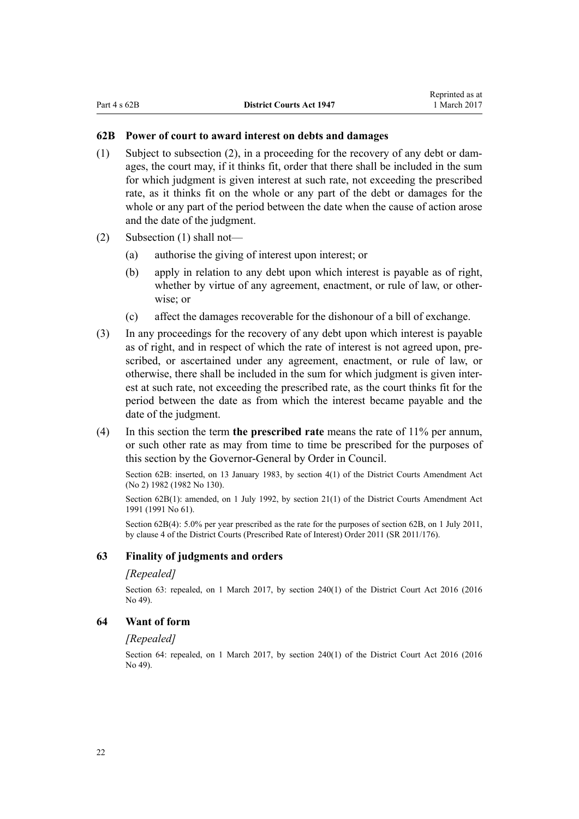## <span id="page-21-0"></span>**62B Power of court to award interest on debts and damages**

- (1) Subject to subsection (2), in a proceeding for the recovery of any debt or damages, the court may, if it thinks fit, order that there shall be included in the sum for which judgment is given interest at such rate, not exceeding the prescribed rate, as it thinks fit on the whole or any part of the debt or damages for the whole or any part of the period between the date when the cause of action arose and the date of the judgment.
- (2) Subsection (1) shall not—
	- (a) authorise the giving of interest upon interest; or
	- (b) apply in relation to any debt upon which interest is payable as of right, whether by virtue of any agreement, enactment, or rule of law, or otherwise; or
	- (c) affect the damages recoverable for the dishonour of a bill of exchange.
- (3) In any proceedings for the recovery of any debt upon which interest is payable as of right, and in respect of which the rate of interest is not agreed upon, prescribed, or ascertained under any agreement, enactment, or rule of law, or otherwise, there shall be included in the sum for which judgment is given interest at such rate, not exceeding the prescribed rate, as the court thinks fit for the period between the date as from which the interest became payable and the date of the judgment.
- (4) In this section the term **the prescribed rate** means the rate of 11% per annum, or such other rate as may from time to time be prescribed for the purposes of this section by the Governor-General by Order in Council.

Section 62B: inserted, on 13 January 1983, by [section 4\(1\)](http://prd-lgnz-nlb.prd.pco.net.nz/pdflink.aspx?id=DLM63966) of the District Courts Amendment Act (No 2) 1982 (1982 No 130).

Section 62B(1): amended, on 1 July 1992, by [section 21\(1\)](http://prd-lgnz-nlb.prd.pco.net.nz/pdflink.aspx?id=DLM230259) of the District Courts Amendment Act 1991 (1991 No 61).

Section 62B(4): 5.0% per year prescribed as the rate for the purposes of section 62B, on 1 July 2011, by [clause 4](http://prd-lgnz-nlb.prd.pco.net.nz/pdflink.aspx?id=DLM3738607) of the District Courts (Prescribed Rate of Interest) Order 2011 (SR 2011/176).

#### **63 Finality of judgments and orders**

#### *[Repealed]*

Section 63: repealed, on 1 March 2017, by [section 240\(1\)](http://prd-lgnz-nlb.prd.pco.net.nz/pdflink.aspx?id=DLM6942646) of the District Court Act 2016 (2016) No 49).

## **64 Want of form**

#### *[Repealed]*

Section 64: repealed, on 1 March 2017, by [section 240\(1\)](http://prd-lgnz-nlb.prd.pco.net.nz/pdflink.aspx?id=DLM6942646) of the District Court Act 2016 (2016 No 49).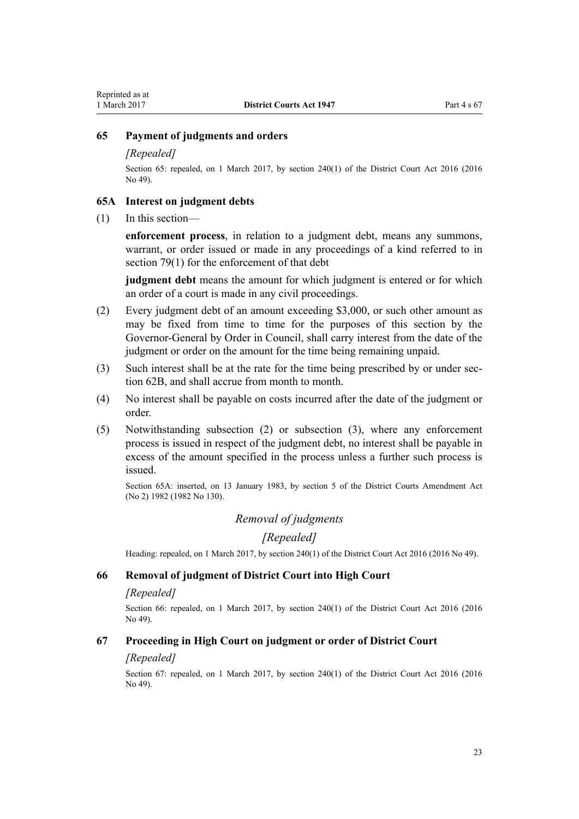## <span id="page-22-0"></span>**65 Payment of judgments and orders**

## *[Repealed]*

Section 65: repealed, on 1 March 2017, by [section 240\(1\)](http://prd-lgnz-nlb.prd.pco.net.nz/pdflink.aspx?id=DLM6942646) of the District Court Act 2016 (2016) No 49).

### **65A Interest on judgment debts**

(1) In this section—

**enforcement process**, in relation to a judgment debt, means any summons, warrant, or order issued or made in any proceedings of a kind referred to in [section 79\(1\)](#page-25-0) for the enforcement of that debt

**judgment debt** means the amount for which judgment is entered or for which an order of a court is made in any civil proceedings.

- (2) Every judgment debt of an amount exceeding \$3,000, or such other amount as may be fixed from time to time for the purposes of this section by the Governor-General by Order in Council, shall carry interest from the date of the judgment or order on the amount for the time being remaining unpaid.
- (3) Such interest shall be at the rate for the time being prescribed by or under [sec](#page-21-0)[tion 62B](#page-21-0), and shall accrue from month to month.
- (4) No interest shall be payable on costs incurred after the date of the judgment or order.
- (5) Notwithstanding subsection (2) or subsection (3), where any enforcement process is issued in respect of the judgment debt, no interest shall be payable in excess of the amount specified in the process unless a further such process is issued.

Section 65A: inserted, on 13 January 1983, by [section 5](http://prd-lgnz-nlb.prd.pco.net.nz/pdflink.aspx?id=DLM63967) of the District Courts Amendment Act (No 2) 1982 (1982 No 130).

## *Removal of judgments*

*[Repealed]*

Heading: repealed, on 1 March 2017, by [section 240\(1\)](http://prd-lgnz-nlb.prd.pco.net.nz/pdflink.aspx?id=DLM6942646) of the District Court Act 2016 (2016 No 49).

## **66 Removal of judgment of District Court into High Court**

#### *[Repealed]*

Section 66: repealed, on 1 March 2017, by [section 240\(1\)](http://prd-lgnz-nlb.prd.pco.net.nz/pdflink.aspx?id=DLM6942646) of the District Court Act 2016 (2016) No 49).

#### **67 Proceeding in High Court on judgment or order of District Court**

#### *[Repealed]*

Section 67: repealed, on 1 March 2017, by [section 240\(1\)](http://prd-lgnz-nlb.prd.pco.net.nz/pdflink.aspx?id=DLM6942646) of the District Court Act 2016 (2016 No 49).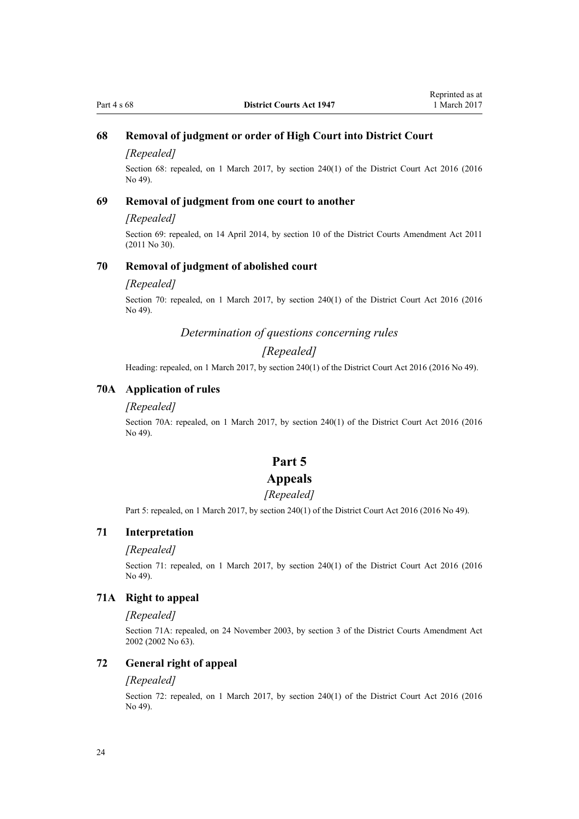## <span id="page-23-0"></span>**68 Removal of judgment or order of High Court into District Court**

### *[Repealed]*

Section 68: repealed, on 1 March 2017, by [section 240\(1\)](http://prd-lgnz-nlb.prd.pco.net.nz/pdflink.aspx?id=DLM6942646) of the District Court Act 2016 (2016 No 49).

## **69 Removal of judgment from one court to another**

#### *[Repealed]*

Section 69: repealed, on 14 April 2014, by [section 10](http://prd-lgnz-nlb.prd.pco.net.nz/pdflink.aspx?id=DLM2929746) of the District Courts Amendment Act 2011 (2011 No 30).

### **70 Removal of judgment of abolished court**

#### *[Repealed]*

Section 70: repealed, on 1 March 2017, by [section 240\(1\)](http://prd-lgnz-nlb.prd.pco.net.nz/pdflink.aspx?id=DLM6942646) of the District Court Act 2016 (2016 No 49).

## *Determination of questions concerning rules*

## *[Repealed]*

Heading: repealed, on 1 March 2017, by [section 240\(1\)](http://prd-lgnz-nlb.prd.pco.net.nz/pdflink.aspx?id=DLM6942646) of the District Court Act 2016 (2016 No 49).

## **70A Application of rules**

#### *[Repealed]*

Section 70A: repealed, on 1 March 2017, by [section 240\(1\)](http://prd-lgnz-nlb.prd.pco.net.nz/pdflink.aspx?id=DLM6942646) of the District Court Act 2016 (2016 No 49).

## **Part 5**

## **Appeals**

#### *[Repealed]*

Part 5: repealed, on 1 March 2017, by [section 240\(1\)](http://prd-lgnz-nlb.prd.pco.net.nz/pdflink.aspx?id=DLM6942646) of the District Court Act 2016 (2016 No 49).

### **71 Interpretation**

#### *[Repealed]*

Section 71: repealed, on 1 March 2017, by [section 240\(1\)](http://prd-lgnz-nlb.prd.pco.net.nz/pdflink.aspx?id=DLM6942646) of the District Court Act 2016 (2016 No 49).

#### **71A Right to appeal**

#### *[Repealed]*

Section 71A: repealed, on 24 November 2003, by [section 3](http://prd-lgnz-nlb.prd.pco.net.nz/pdflink.aspx?id=DLM167896) of the District Courts Amendment Act 2002 (2002 No 63).

#### **72 General right of appeal**

#### *[Repealed]*

Section 72: repealed, on 1 March 2017, by [section 240\(1\)](http://prd-lgnz-nlb.prd.pco.net.nz/pdflink.aspx?id=DLM6942646) of the District Court Act 2016 (2016) No 49).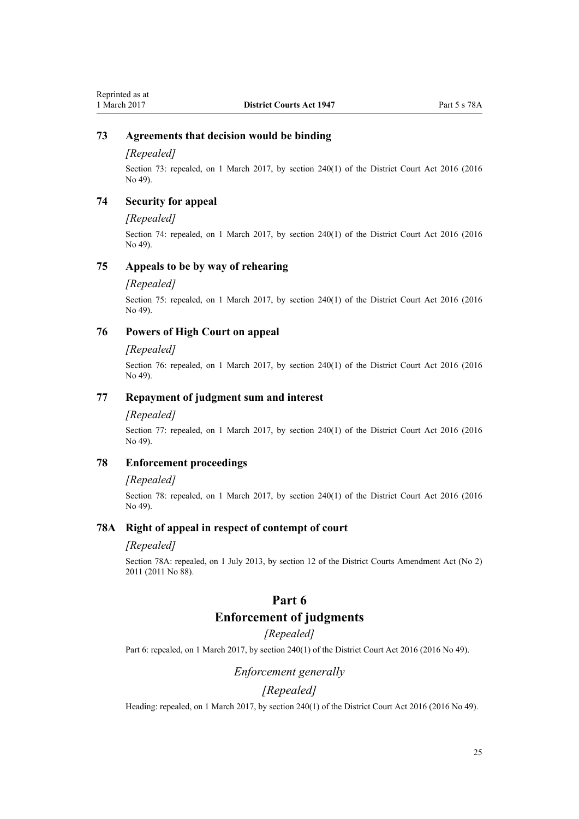## <span id="page-24-0"></span>**73 Agreements that decision would be binding**

#### *[Repealed]*

Section 73: repealed, on 1 March 2017, by [section 240\(1\)](http://prd-lgnz-nlb.prd.pco.net.nz/pdflink.aspx?id=DLM6942646) of the District Court Act 2016 (2016 No 49).

### **74 Security for appeal**

#### *[Repealed]*

Section 74: repealed, on 1 March 2017, by [section 240\(1\)](http://prd-lgnz-nlb.prd.pco.net.nz/pdflink.aspx?id=DLM6942646) of the District Court Act 2016 (2016) No 49).

## **75 Appeals to be by way of rehearing**

#### *[Repealed]*

Section 75: repealed, on 1 March 2017, by [section 240\(1\)](http://prd-lgnz-nlb.prd.pco.net.nz/pdflink.aspx?id=DLM6942646) of the District Court Act 2016 (2016 No 49).

## **76 Powers of High Court on appeal**

#### *[Repealed]*

Section 76: repealed, on 1 March 2017, by [section 240\(1\)](http://prd-lgnz-nlb.prd.pco.net.nz/pdflink.aspx?id=DLM6942646) of the District Court Act 2016 (2016 No 49).

## **77 Repayment of judgment sum and interest**

#### *[Repealed]*

Section 77: repealed, on 1 March 2017, by [section 240\(1\)](http://prd-lgnz-nlb.prd.pco.net.nz/pdflink.aspx?id=DLM6942646) of the District Court Act 2016 (2016 No 49).

## **78 Enforcement proceedings**

#### *[Repealed]*

Section 78: repealed, on 1 March 2017, by [section 240\(1\)](http://prd-lgnz-nlb.prd.pco.net.nz/pdflink.aspx?id=DLM6942646) of the District Court Act 2016 (2016 No 49).

## **78A Right of appeal in respect of contempt of court**

#### *[Repealed]*

Section 78A: repealed, on 1 July 2013, by [section 12](http://prd-lgnz-nlb.prd.pco.net.nz/pdflink.aspx?id=DLM4058121) of the District Courts Amendment Act (No 2) 2011 (2011 No 88).

## **Part 6**

## **Enforcement of judgments**

## *[Repealed]*

Part 6: repealed, on 1 March 2017, by [section 240\(1\)](http://prd-lgnz-nlb.prd.pco.net.nz/pdflink.aspx?id=DLM6942646) of the District Court Act 2016 (2016 No 49).

## *Enforcement generally*

## *[Repealed]*

Heading: repealed, on 1 March 2017, by [section 240\(1\)](http://prd-lgnz-nlb.prd.pco.net.nz/pdflink.aspx?id=DLM6942646) of the District Court Act 2016 (2016 No 49).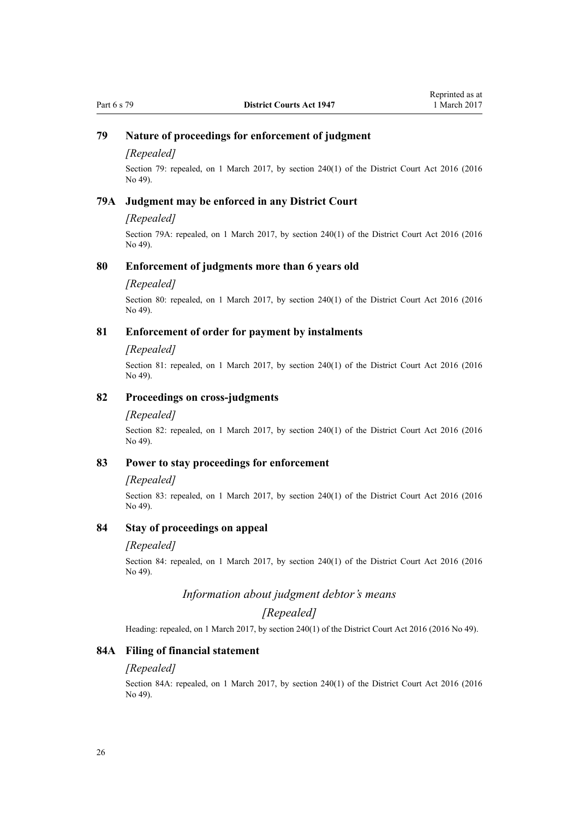## <span id="page-25-0"></span>**79 Nature of proceedings for enforcement of judgment**

#### *[Repealed]*

Section 79: repealed, on 1 March 2017, by [section 240\(1\)](http://prd-lgnz-nlb.prd.pco.net.nz/pdflink.aspx?id=DLM6942646) of the District Court Act 2016 (2016) No 49).

#### **79A Judgment may be enforced in any District Court**

### *[Repealed]*

Section 79A: repealed, on 1 March 2017, by [section 240\(1\)](http://prd-lgnz-nlb.prd.pco.net.nz/pdflink.aspx?id=DLM6942646) of the District Court Act 2016 (2016 No 49).

### **80 Enforcement of judgments more than 6 years old**

### *[Repealed]*

Section 80: repealed, on 1 March 2017, by [section 240\(1\)](http://prd-lgnz-nlb.prd.pco.net.nz/pdflink.aspx?id=DLM6942646) of the District Court Act 2016 (2016 No 49).

## **81 Enforcement of order for payment by instalments**

#### *[Repealed]*

Section 81: repealed, on 1 March 2017, by [section 240\(1\)](http://prd-lgnz-nlb.prd.pco.net.nz/pdflink.aspx?id=DLM6942646) of the District Court Act 2016 (2016 No 49).

### **82 Proceedings on cross-judgments**

#### *[Repealed]*

Section 82: repealed, on 1 March 2017, by [section 240\(1\)](http://prd-lgnz-nlb.prd.pco.net.nz/pdflink.aspx?id=DLM6942646) of the District Court Act 2016 (2016 No 49).

## **83 Power to stay proceedings for enforcement**

#### *[Repealed]*

Section 83: repealed, on 1 March 2017, by [section 240\(1\)](http://prd-lgnz-nlb.prd.pco.net.nz/pdflink.aspx?id=DLM6942646) of the District Court Act 2016 (2016 No 49).

## **84 Stay of proceedings on appeal**

#### *[Repealed]*

Section 84: repealed, on 1 March 2017, by [section 240\(1\)](http://prd-lgnz-nlb.prd.pco.net.nz/pdflink.aspx?id=DLM6942646) of the District Court Act 2016 (2016 No 49).

## *Information about judgment debtor's means*

## *[Repealed]*

Heading: repealed, on 1 March 2017, by [section 240\(1\)](http://prd-lgnz-nlb.prd.pco.net.nz/pdflink.aspx?id=DLM6942646) of the District Court Act 2016 (2016 No 49).

## **84A Filing of financial statement**

#### *[Repealed]*

Section 84A: repealed, on 1 March 2017, by [section 240\(1\)](http://prd-lgnz-nlb.prd.pco.net.nz/pdflink.aspx?id=DLM6942646) of the District Court Act 2016 (2016 No 49).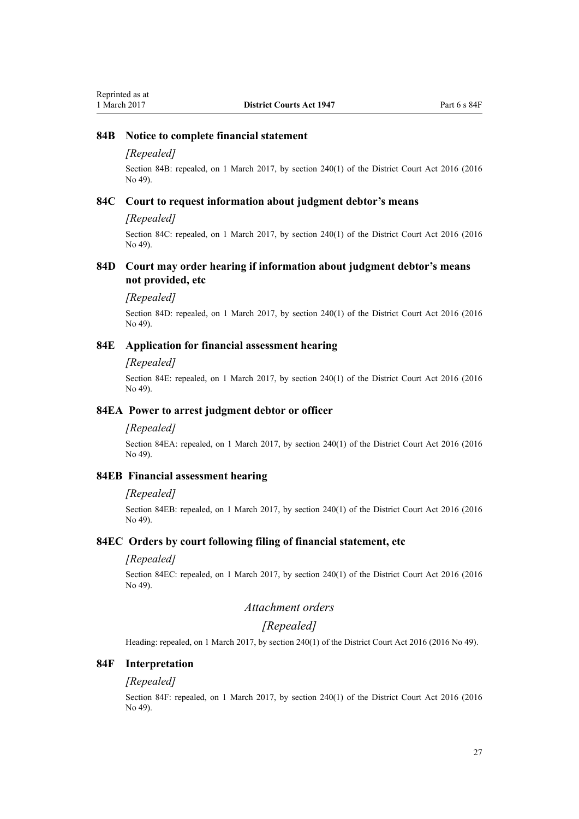### <span id="page-26-0"></span>**84B Notice to complete financial statement**

### *[Repealed]*

Section 84B: repealed, on 1 March 2017, by [section 240\(1\)](http://prd-lgnz-nlb.prd.pco.net.nz/pdflink.aspx?id=DLM6942646) of the District Court Act 2016 (2016 No 49).

## **84C Court to request information about judgment debtor's means**

#### *[Repealed]*

Section 84C: repealed, on 1 March 2017, by [section 240\(1\)](http://prd-lgnz-nlb.prd.pco.net.nz/pdflink.aspx?id=DLM6942646) of the District Court Act 2016 (2016 No 49).

### **84D Court may order hearing if information about judgment debtor's means not provided, etc**

#### *[Repealed]*

Section 84D: repealed, on 1 March 2017, by [section 240\(1\)](http://prd-lgnz-nlb.prd.pco.net.nz/pdflink.aspx?id=DLM6942646) of the District Court Act 2016 (2016 No 49).

## **84E Application for financial assessment hearing**

#### *[Repealed]*

Section 84E: repealed, on 1 March 2017, by [section 240\(1\)](http://prd-lgnz-nlb.prd.pco.net.nz/pdflink.aspx?id=DLM6942646) of the District Court Act 2016 (2016 No 49).

### **84EA Power to arrest judgment debtor or officer**

#### *[Repealed]*

Section 84EA: repealed, on 1 March 2017, by [section 240\(1\)](http://prd-lgnz-nlb.prd.pco.net.nz/pdflink.aspx?id=DLM6942646) of the District Court Act 2016 (2016 No 49).

## **84EB Financial assessment hearing**

#### *[Repealed]*

Section 84EB: repealed, on 1 March 2017, by [section 240\(1\)](http://prd-lgnz-nlb.prd.pco.net.nz/pdflink.aspx?id=DLM6942646) of the District Court Act 2016 (2016 No 49).

## **84EC Orders by court following filing of financial statement, etc**

### *[Repealed]*

Section 84EC: repealed, on 1 March 2017, by [section 240\(1\)](http://prd-lgnz-nlb.prd.pco.net.nz/pdflink.aspx?id=DLM6942646) of the District Court Act 2016 (2016 No 49).

## *Attachment orders*

## *[Repealed]*

Heading: repealed, on 1 March 2017, by [section 240\(1\)](http://prd-lgnz-nlb.prd.pco.net.nz/pdflink.aspx?id=DLM6942646) of the District Court Act 2016 (2016 No 49).

## **84F Interpretation**

#### *[Repealed]*

Section 84F: repealed, on 1 March 2017, by [section 240\(1\)](http://prd-lgnz-nlb.prd.pco.net.nz/pdflink.aspx?id=DLM6942646) of the District Court Act 2016 (2016 No 49).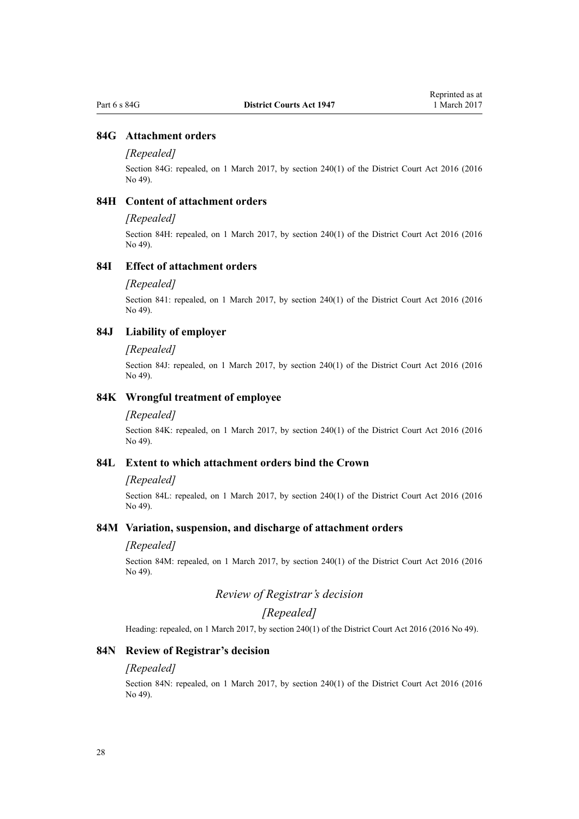## <span id="page-27-0"></span>**84G Attachment orders**

#### *[Repealed]*

Section 84G: repealed, on 1 March 2017, by [section 240\(1\)](http://prd-lgnz-nlb.prd.pco.net.nz/pdflink.aspx?id=DLM6942646) of the District Court Act 2016 (2016 No 49).

## **84H Content of attachment orders**

### *[Repealed]*

Section 84H: repealed, on 1 March 2017, by [section 240\(1\)](http://prd-lgnz-nlb.prd.pco.net.nz/pdflink.aspx?id=DLM6942646) of the District Court Act 2016 (2016 No 49).

## **84I Effect of attachment orders**

#### *[Repealed]*

Section 841: repealed, on 1 March 2017, by [section 240\(1\)](http://prd-lgnz-nlb.prd.pco.net.nz/pdflink.aspx?id=DLM6942646) of the District Court Act 2016 (2016 No 49).

### **84J Liability of employer**

#### *[Repealed]*

Section 84J: repealed, on 1 March 2017, by [section 240\(1\)](http://prd-lgnz-nlb.prd.pco.net.nz/pdflink.aspx?id=DLM6942646) of the District Court Act 2016 (2016 No 49).

#### **84K Wrongful treatment of employee**

#### *[Repealed]*

Section 84K: repealed, on 1 March 2017, by [section 240\(1\)](http://prd-lgnz-nlb.prd.pco.net.nz/pdflink.aspx?id=DLM6942646) of the District Court Act 2016 (2016 No 49).

## **84L Extent to which attachment orders bind the Crown**

#### *[Repealed]*

Section 84L: repealed, on 1 March 2017, by [section 240\(1\)](http://prd-lgnz-nlb.prd.pco.net.nz/pdflink.aspx?id=DLM6942646) of the District Court Act 2016 (2016 No 49).

## **84M Variation, suspension, and discharge of attachment orders**

#### *[Repealed]*

Section 84M: repealed, on 1 March 2017, by [section 240\(1\)](http://prd-lgnz-nlb.prd.pco.net.nz/pdflink.aspx?id=DLM6942646) of the District Court Act 2016 (2016 No 49).

## *Review of Registrar's decision*

## *[Repealed]*

Heading: repealed, on 1 March 2017, by [section 240\(1\)](http://prd-lgnz-nlb.prd.pco.net.nz/pdflink.aspx?id=DLM6942646) of the District Court Act 2016 (2016 No 49).

#### **84N Review of Registrar's decision**

#### *[Repealed]*

Section 84N: repealed, on 1 March 2017, by [section 240\(1\)](http://prd-lgnz-nlb.prd.pco.net.nz/pdflink.aspx?id=DLM6942646) of the District Court Act 2016 (2016 No 49).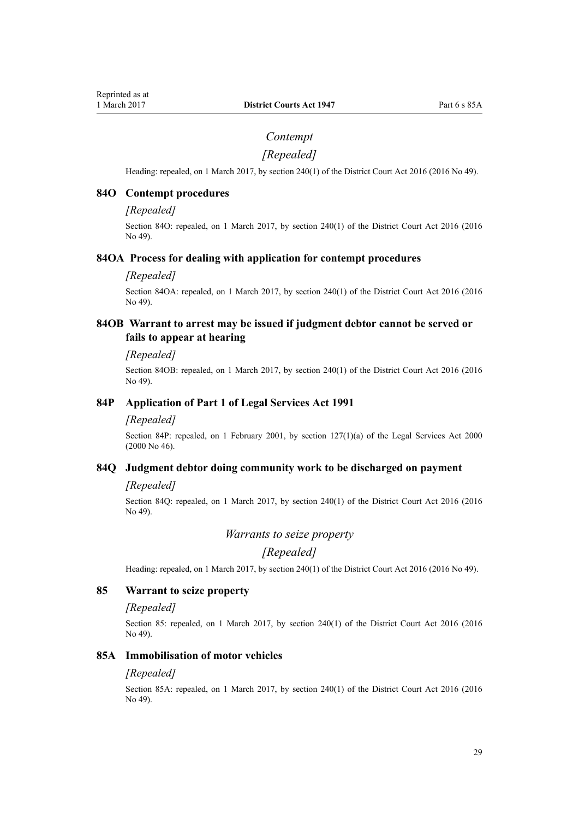## *Contempt*

## *[Repealed]*

<span id="page-28-0"></span>Heading: repealed, on 1 March 2017, by [section 240\(1\)](http://prd-lgnz-nlb.prd.pco.net.nz/pdflink.aspx?id=DLM6942646) of the District Court Act 2016 (2016 No 49).

### **84O Contempt procedures**

#### *[Repealed]*

Section 84O: repealed, on 1 March 2017, by [section 240\(1\)](http://prd-lgnz-nlb.prd.pco.net.nz/pdflink.aspx?id=DLM6942646) of the District Court Act 2016 (2016 No 49).

#### **84OA Process for dealing with application for contempt procedures**

#### *[Repealed]*

Section 84OA: repealed, on 1 March 2017, by [section 240\(1\)](http://prd-lgnz-nlb.prd.pco.net.nz/pdflink.aspx?id=DLM6942646) of the District Court Act 2016 (2016 No 49).

## **84OB Warrant to arrest may be issued if judgment debtor cannot be served or fails to appear at hearing**

#### *[Repealed]*

Section 84OB: repealed, on 1 March 2017, by [section 240\(1\)](http://prd-lgnz-nlb.prd.pco.net.nz/pdflink.aspx?id=DLM6942646) of the District Court Act 2016 (2016 No 49).

## **84P Application of Part 1 of Legal Services Act 1991**

#### *[Repealed]*

Section 84P: repealed, on 1 February 2001, by [section 127\(1\)\(a\)](http://prd-lgnz-nlb.prd.pco.net.nz/pdflink.aspx?id=DLM73104) of the Legal Services Act 2000 (2000 No 46).

## **84Q Judgment debtor doing community work to be discharged on payment**

## *[Repealed]*

Section 84Q: repealed, on 1 March 2017, by [section 240\(1\)](http://prd-lgnz-nlb.prd.pco.net.nz/pdflink.aspx?id=DLM6942646) of the District Court Act 2016 (2016 No 49).

*Warrants to seize property*

## *[Repealed]*

Heading: repealed, on 1 March 2017, by [section 240\(1\)](http://prd-lgnz-nlb.prd.pco.net.nz/pdflink.aspx?id=DLM6942646) of the District Court Act 2016 (2016 No 49).

## **85 Warrant to seize property**

#### *[Repealed]*

Section 85: repealed, on 1 March 2017, by [section 240\(1\)](http://prd-lgnz-nlb.prd.pco.net.nz/pdflink.aspx?id=DLM6942646) of the District Court Act 2016 (2016) No 49).

### **85A Immobilisation of motor vehicles**

#### *[Repealed]*

Section 85A: repealed, on 1 March 2017, by [section 240\(1\)](http://prd-lgnz-nlb.prd.pco.net.nz/pdflink.aspx?id=DLM6942646) of the District Court Act 2016 (2016 No 49).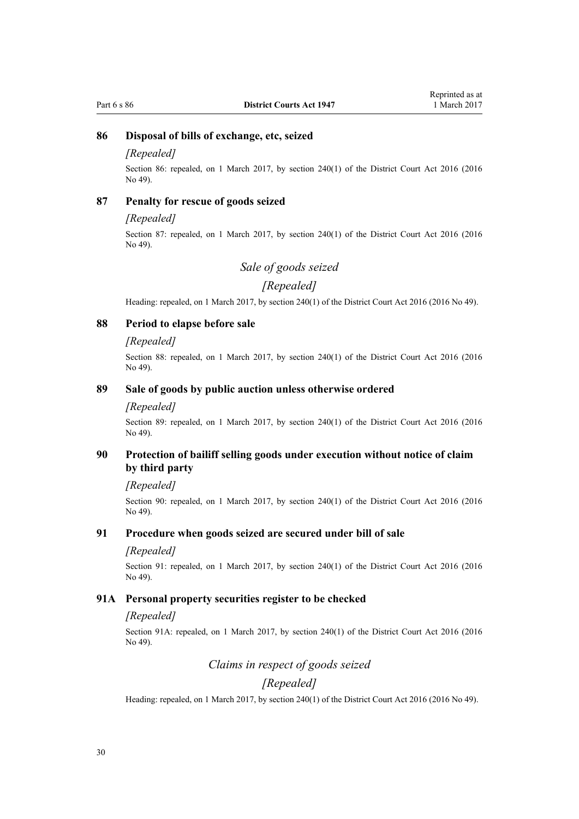## <span id="page-29-0"></span>**86 Disposal of bills of exchange, etc, seized**

### *[Repealed]*

Section 86: repealed, on 1 March 2017, by [section 240\(1\)](http://prd-lgnz-nlb.prd.pco.net.nz/pdflink.aspx?id=DLM6942646) of the District Court Act 2016 (2016 No 49).

## **87 Penalty for rescue of goods seized**

#### *[Repealed]*

Section 87: repealed, on 1 March 2017, by [section 240\(1\)](http://prd-lgnz-nlb.prd.pco.net.nz/pdflink.aspx?id=DLM6942646) of the District Court Act 2016 (2016 No 49).

## *Sale of goods seized*

## *[Repealed]*

Heading: repealed, on 1 March 2017, by [section 240\(1\)](http://prd-lgnz-nlb.prd.pco.net.nz/pdflink.aspx?id=DLM6942646) of the District Court Act 2016 (2016 No 49).

## **88 Period to elapse before sale**

#### *[Repealed]*

Section 88: repealed, on 1 March 2017, by [section 240\(1\)](http://prd-lgnz-nlb.prd.pco.net.nz/pdflink.aspx?id=DLM6942646) of the District Court Act 2016 (2016) No 49).

## **89 Sale of goods by public auction unless otherwise ordered**

#### *[Repealed]*

Section 89: repealed, on 1 March 2017, by [section 240\(1\)](http://prd-lgnz-nlb.prd.pco.net.nz/pdflink.aspx?id=DLM6942646) of the District Court Act 2016 (2016) No 49).

## **90 Protection of bailiff selling goods under execution without notice of claim by third party**

#### *[Repealed]*

Section 90: repealed, on 1 March 2017, by [section 240\(1\)](http://prd-lgnz-nlb.prd.pco.net.nz/pdflink.aspx?id=DLM6942646) of the District Court Act 2016 (2016) No 49).

#### **91 Procedure when goods seized are secured under bill of sale**

### *[Repealed]*

Section 91: repealed, on 1 March 2017, by [section 240\(1\)](http://prd-lgnz-nlb.prd.pco.net.nz/pdflink.aspx?id=DLM6942646) of the District Court Act 2016 (2016 No 49).

#### **91A Personal property securities register to be checked**

#### *[Repealed]*

Section 91A: repealed, on 1 March 2017, by [section 240\(1\)](http://prd-lgnz-nlb.prd.pco.net.nz/pdflink.aspx?id=DLM6942646) of the District Court Act 2016 (2016 No 49).

## *Claims in respect of goods seized*

## *[Repealed]*

Heading: repealed, on 1 March 2017, by [section 240\(1\)](http://prd-lgnz-nlb.prd.pco.net.nz/pdflink.aspx?id=DLM6942646) of the District Court Act 2016 (2016 No 49).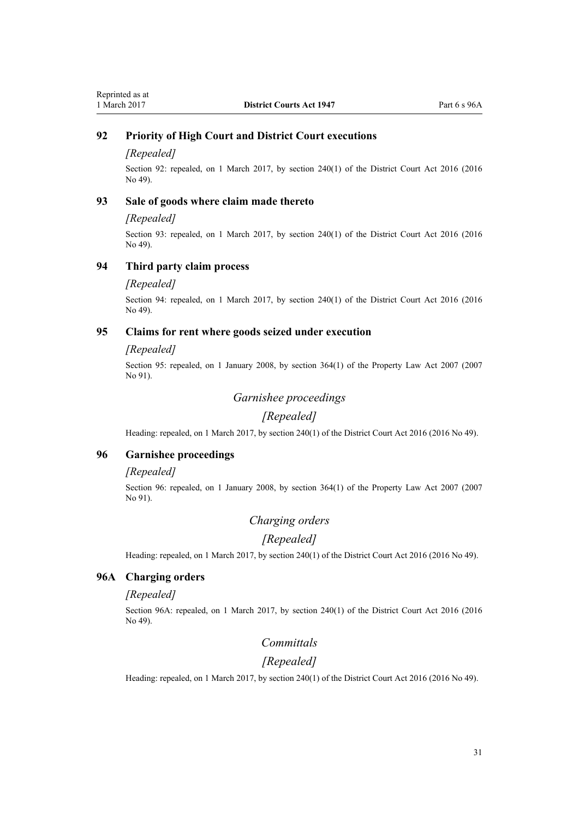## <span id="page-30-0"></span>**92 Priority of High Court and District Court executions**

#### *[Repealed]*

Section 92: repealed, on 1 March 2017, by [section 240\(1\)](http://prd-lgnz-nlb.prd.pco.net.nz/pdflink.aspx?id=DLM6942646) of the District Court Act 2016 (2016 No 49).

## **93 Sale of goods where claim made thereto**

#### *[Repealed]*

Section 93: repealed, on 1 March 2017, by [section 240\(1\)](http://prd-lgnz-nlb.prd.pco.net.nz/pdflink.aspx?id=DLM6942646) of the District Court Act 2016 (2016) No 49).

### **94 Third party claim process**

#### *[Repealed]*

Section 94: repealed, on 1 March 2017, by [section 240\(1\)](http://prd-lgnz-nlb.prd.pco.net.nz/pdflink.aspx?id=DLM6942646) of the District Court Act 2016 (2016 No 49).

## **95 Claims for rent where goods seized under execution**

#### *[Repealed]*

Section 95: repealed, on 1 January 2008, by [section 364\(1\)](http://prd-lgnz-nlb.prd.pco.net.nz/pdflink.aspx?id=DLM969644) of the Property Law Act 2007 (2007 No 91).

## *Garnishee proceedings*

## *[Repealed]*

Heading: repealed, on 1 March 2017, by [section 240\(1\)](http://prd-lgnz-nlb.prd.pco.net.nz/pdflink.aspx?id=DLM6942646) of the District Court Act 2016 (2016 No 49).

## **96 Garnishee proceedings**

#### *[Repealed]*

Section 96: repealed, on 1 January 2008, by [section 364\(1\)](http://prd-lgnz-nlb.prd.pco.net.nz/pdflink.aspx?id=DLM969644) of the Property Law Act 2007 (2007 No 91).

## *Charging orders*

### *[Repealed]*

Heading: repealed, on 1 March 2017, by [section 240\(1\)](http://prd-lgnz-nlb.prd.pco.net.nz/pdflink.aspx?id=DLM6942646) of the District Court Act 2016 (2016 No 49).

## **96A Charging orders**

## *[Repealed]*

Section 96A: repealed, on 1 March 2017, by [section 240\(1\)](http://prd-lgnz-nlb.prd.pco.net.nz/pdflink.aspx?id=DLM6942646) of the District Court Act 2016 (2016 No 49).

## *Committals*

## *[Repealed]*

Heading: repealed, on 1 March 2017, by [section 240\(1\)](http://prd-lgnz-nlb.prd.pco.net.nz/pdflink.aspx?id=DLM6942646) of the District Court Act 2016 (2016 No 49).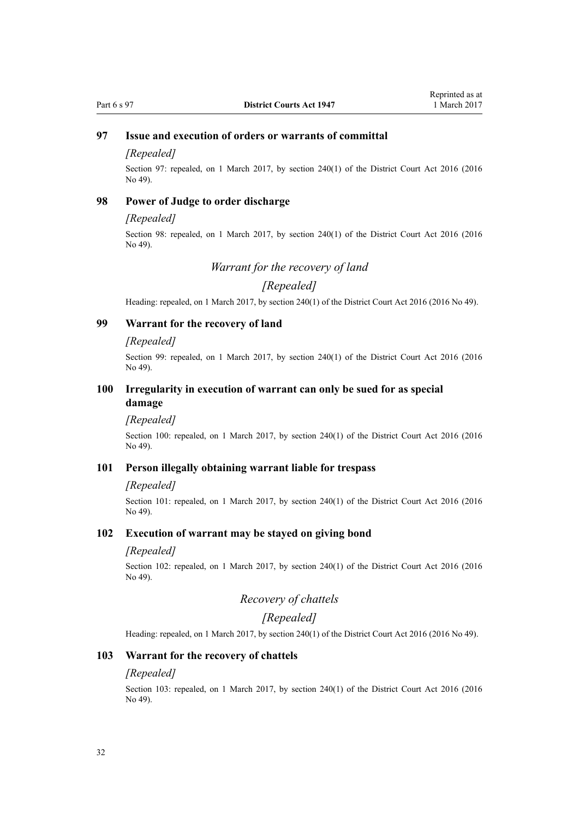## <span id="page-31-0"></span>**97 Issue and execution of orders or warrants of committal**

### *[Repealed]*

Section 97: repealed, on 1 March 2017, by [section 240\(1\)](http://prd-lgnz-nlb.prd.pco.net.nz/pdflink.aspx?id=DLM6942646) of the District Court Act 2016 (2016 No 49).

## **98 Power of Judge to order discharge**

#### *[Repealed]*

Section 98: repealed, on 1 March 2017, by [section 240\(1\)](http://prd-lgnz-nlb.prd.pco.net.nz/pdflink.aspx?id=DLM6942646) of the District Court Act 2016 (2016 No 49).

### *Warrant for the recovery of land*

## *[Repealed]*

Heading: repealed, on 1 March 2017, by [section 240\(1\)](http://prd-lgnz-nlb.prd.pco.net.nz/pdflink.aspx?id=DLM6942646) of the District Court Act 2016 (2016 No 49).

## **99 Warrant for the recovery of land**

#### *[Repealed]*

Section 99: repealed, on 1 March 2017, by [section 240\(1\)](http://prd-lgnz-nlb.prd.pco.net.nz/pdflink.aspx?id=DLM6942646) of the District Court Act 2016 (2016) No 49).

## **100 Irregularity in execution of warrant can only be sued for as special damage**

#### *[Repealed]*

Section 100: repealed, on 1 March 2017, by [section 240\(1\)](http://prd-lgnz-nlb.prd.pco.net.nz/pdflink.aspx?id=DLM6942646) of the District Court Act 2016 (2016 No 49).

## **101 Person illegally obtaining warrant liable for trespass**

#### *[Repealed]*

Section 101: repealed, on 1 March 2017, by [section 240\(1\)](http://prd-lgnz-nlb.prd.pco.net.nz/pdflink.aspx?id=DLM6942646) of the District Court Act 2016 (2016 No 49).

## **102 Execution of warrant may be stayed on giving bond**

#### *[Repealed]*

Section 102: repealed, on 1 March 2017, by [section 240\(1\)](http://prd-lgnz-nlb.prd.pco.net.nz/pdflink.aspx?id=DLM6942646) of the District Court Act 2016 (2016 No 49).

## *Recovery of chattels*

## *[Repealed]*

Heading: repealed, on 1 March 2017, by [section 240\(1\)](http://prd-lgnz-nlb.prd.pco.net.nz/pdflink.aspx?id=DLM6942646) of the District Court Act 2016 (2016 No 49).

## **103 Warrant for the recovery of chattels**

#### *[Repealed]*

Section 103: repealed, on 1 March 2017, by [section 240\(1\)](http://prd-lgnz-nlb.prd.pco.net.nz/pdflink.aspx?id=DLM6942646) of the District Court Act 2016 (2016 No 49).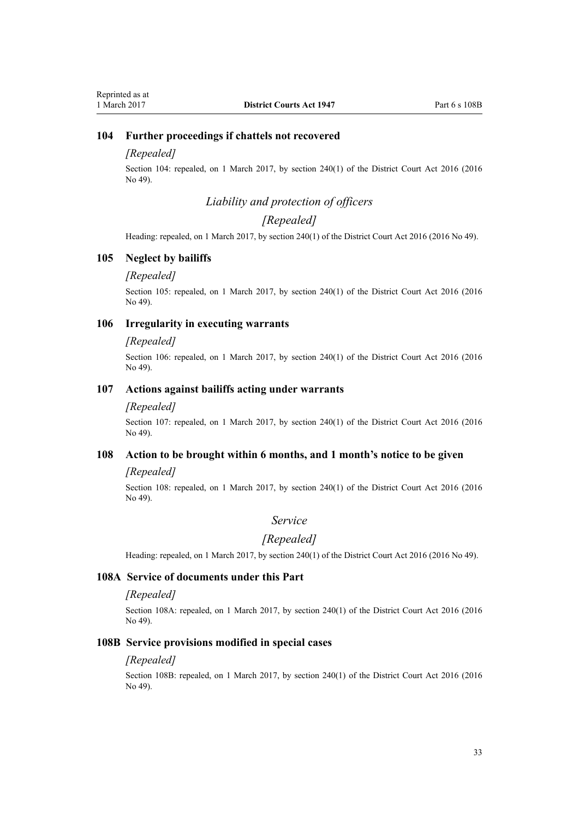## <span id="page-32-0"></span>**104 Further proceedings if chattels not recovered**

### *[Repealed]*

Section 104: repealed, on 1 March 2017, by [section 240\(1\)](http://prd-lgnz-nlb.prd.pco.net.nz/pdflink.aspx?id=DLM6942646) of the District Court Act 2016 (2016 No 49).

## *Liability and protection of officers*

## *[Repealed]*

Heading: repealed, on 1 March 2017, by [section 240\(1\)](http://prd-lgnz-nlb.prd.pco.net.nz/pdflink.aspx?id=DLM6942646) of the District Court Act 2016 (2016 No 49).

## **105 Neglect by bailiffs**

#### *[Repealed]*

Section 105: repealed, on 1 March 2017, by [section 240\(1\)](http://prd-lgnz-nlb.prd.pco.net.nz/pdflink.aspx?id=DLM6942646) of the District Court Act 2016 (2016 No 49).

## **106 Irregularity in executing warrants**

#### *[Repealed]*

Section 106: repealed, on 1 March 2017, by [section 240\(1\)](http://prd-lgnz-nlb.prd.pco.net.nz/pdflink.aspx?id=DLM6942646) of the District Court Act 2016 (2016 No 49).

## **107 Actions against bailiffs acting under warrants**

#### *[Repealed]*

Section 107: repealed, on 1 March 2017, by [section 240\(1\)](http://prd-lgnz-nlb.prd.pco.net.nz/pdflink.aspx?id=DLM6942646) of the District Court Act 2016 (2016 No 49).

### **108 Action to be brought within 6 months, and 1 month's notice to be given**

#### *[Repealed]*

Section 108: repealed, on 1 March 2017, by [section 240\(1\)](http://prd-lgnz-nlb.prd.pco.net.nz/pdflink.aspx?id=DLM6942646) of the District Court Act 2016 (2016 No 49).

## *Service*

### *[Repealed]*

Heading: repealed, on 1 March 2017, by [section 240\(1\)](http://prd-lgnz-nlb.prd.pco.net.nz/pdflink.aspx?id=DLM6942646) of the District Court Act 2016 (2016 No 49).

#### **108A Service of documents under this Part**

## *[Repealed]*

Section 108A: repealed, on 1 March 2017, by [section 240\(1\)](http://prd-lgnz-nlb.prd.pco.net.nz/pdflink.aspx?id=DLM6942646) of the District Court Act 2016 (2016 No 49).

#### **108B Service provisions modified in special cases**

#### *[Repealed]*

Section 108B: repealed, on 1 March 2017, by [section 240\(1\)](http://prd-lgnz-nlb.prd.pco.net.nz/pdflink.aspx?id=DLM6942646) of the District Court Act 2016 (2016 No 49).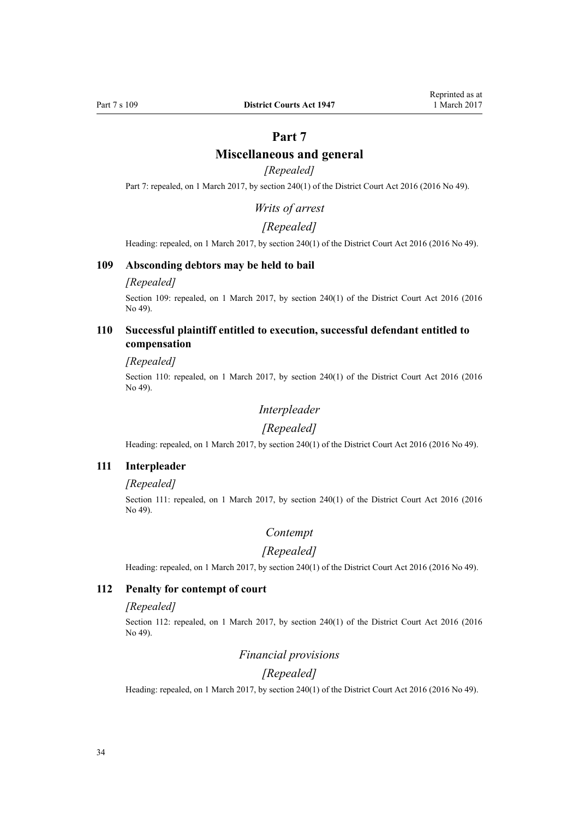## **Miscellaneous and general**

## *[Repealed]*

<span id="page-33-0"></span>Part 7: repealed, on 1 March 2017, by [section 240\(1\)](http://prd-lgnz-nlb.prd.pco.net.nz/pdflink.aspx?id=DLM6942646) of the District Court Act 2016 (2016 No 49).

*Writs of arrest*

## *[Repealed]*

Heading: repealed, on 1 March 2017, by [section 240\(1\)](http://prd-lgnz-nlb.prd.pco.net.nz/pdflink.aspx?id=DLM6942646) of the District Court Act 2016 (2016 No 49).

### **109 Absconding debtors may be held to bail**

### *[Repealed]*

Section 109: repealed, on 1 March 2017, by [section 240\(1\)](http://prd-lgnz-nlb.prd.pco.net.nz/pdflink.aspx?id=DLM6942646) of the District Court Act 2016 (2016 No 49).

## **110 Successful plaintiff entitled to execution, successful defendant entitled to compensation**

#### *[Repealed]*

Section 110: repealed, on 1 March 2017, by [section 240\(1\)](http://prd-lgnz-nlb.prd.pco.net.nz/pdflink.aspx?id=DLM6942646) of the District Court Act 2016 (2016 No 49).

## *Interpleader*

#### *[Repealed]*

Heading: repealed, on 1 March 2017, by [section 240\(1\)](http://prd-lgnz-nlb.prd.pco.net.nz/pdflink.aspx?id=DLM6942646) of the District Court Act 2016 (2016 No 49).

#### **111 Interpleader**

### *[Repealed]*

Section 111: repealed, on 1 March 2017, by [section 240\(1\)](http://prd-lgnz-nlb.prd.pco.net.nz/pdflink.aspx?id=DLM6942646) of the District Court Act 2016 (2016 No 49).

## *Contempt*

## *[Repealed]*

Heading: repealed, on 1 March 2017, by [section 240\(1\)](http://prd-lgnz-nlb.prd.pco.net.nz/pdflink.aspx?id=DLM6942646) of the District Court Act 2016 (2016 No 49).

#### **112 Penalty for contempt of court**

#### *[Repealed]*

Section 112: repealed, on 1 March 2017, by [section 240\(1\)](http://prd-lgnz-nlb.prd.pco.net.nz/pdflink.aspx?id=DLM6942646) of the District Court Act 2016 (2016 No 49).

## *Financial provisions*

#### *[Repealed]*

Heading: repealed, on 1 March 2017, by [section 240\(1\)](http://prd-lgnz-nlb.prd.pco.net.nz/pdflink.aspx?id=DLM6942646) of the District Court Act 2016 (2016 No 49).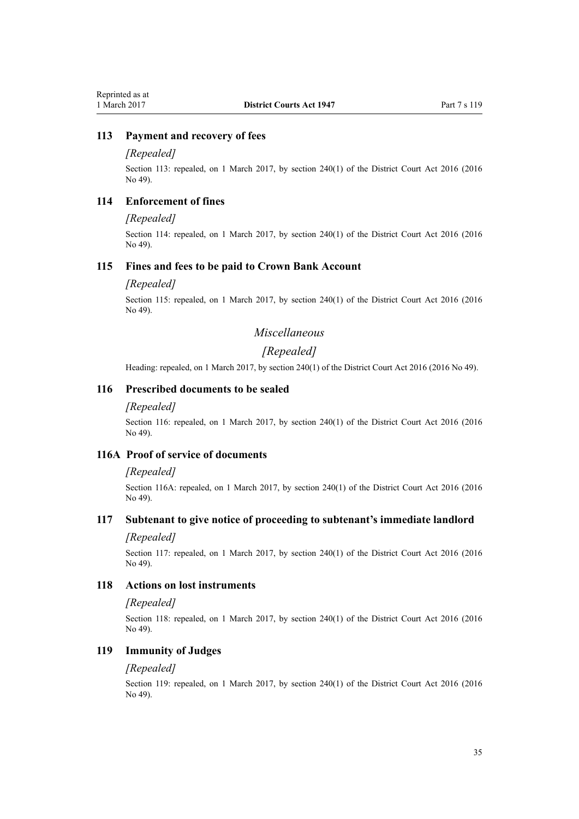## <span id="page-34-0"></span>**113 Payment and recovery of fees**

### *[Repealed]*

Section 113: repealed, on 1 March 2017, by [section 240\(1\)](http://prd-lgnz-nlb.prd.pco.net.nz/pdflink.aspx?id=DLM6942646) of the District Court Act 2016 (2016 No 49).

## **114 Enforcement of fines**

#### *[Repealed]*

Section 114: repealed, on 1 March 2017, by [section 240\(1\)](http://prd-lgnz-nlb.prd.pco.net.nz/pdflink.aspx?id=DLM6942646) of the District Court Act 2016 (2016 No 49).

#### **115 Fines and fees to be paid to Crown Bank Account**

#### *[Repealed]*

Section 115: repealed, on 1 March 2017, by [section 240\(1\)](http://prd-lgnz-nlb.prd.pco.net.nz/pdflink.aspx?id=DLM6942646) of the District Court Act 2016 (2016 No 49).

## *Miscellaneous*

## *[Repealed]*

Heading: repealed, on 1 March 2017, by [section 240\(1\)](http://prd-lgnz-nlb.prd.pco.net.nz/pdflink.aspx?id=DLM6942646) of the District Court Act 2016 (2016 No 49).

## **116 Prescribed documents to be sealed**

#### *[Repealed]*

Section 116: repealed, on 1 March 2017, by [section 240\(1\)](http://prd-lgnz-nlb.prd.pco.net.nz/pdflink.aspx?id=DLM6942646) of the District Court Act 2016 (2016 No 49).

### **116A Proof of service of documents**

#### *[Repealed]*

Section 116A: repealed, on 1 March 2017, by [section 240\(1\)](http://prd-lgnz-nlb.prd.pco.net.nz/pdflink.aspx?id=DLM6942646) of the District Court Act 2016 (2016 No 49).

## **117 Subtenant to give notice of proceeding to subtenant's immediate landlord**

#### *[Repealed]*

Section 117: repealed, on 1 March 2017, by [section 240\(1\)](http://prd-lgnz-nlb.prd.pco.net.nz/pdflink.aspx?id=DLM6942646) of the District Court Act 2016 (2016 No 49).

### **118 Actions on lost instruments**

### *[Repealed]*

Section 118: repealed, on 1 March 2017, by [section 240\(1\)](http://prd-lgnz-nlb.prd.pco.net.nz/pdflink.aspx?id=DLM6942646) of the District Court Act 2016 (2016 No 49).

## **119 Immunity of Judges**

#### *[Repealed]*

Section 119: repealed, on 1 March 2017, by [section 240\(1\)](http://prd-lgnz-nlb.prd.pco.net.nz/pdflink.aspx?id=DLM6942646) of the District Court Act 2016 (2016 No 49).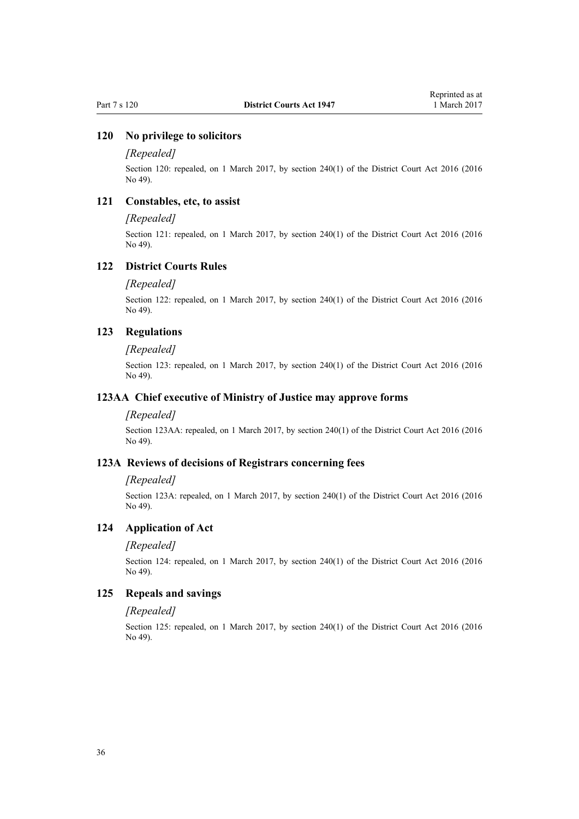## <span id="page-35-0"></span>**120 No privilege to solicitors**

#### *[Repealed]*

Section 120: repealed, on 1 March 2017, by [section 240\(1\)](http://prd-lgnz-nlb.prd.pco.net.nz/pdflink.aspx?id=DLM6942646) of the District Court Act 2016 (2016 No 49).

### **121 Constables, etc, to assist**

#### *[Repealed]*

Section 121: repealed, on 1 March 2017, by [section 240\(1\)](http://prd-lgnz-nlb.prd.pco.net.nz/pdflink.aspx?id=DLM6942646) of the District Court Act 2016 (2016) No 49).

### **122 District Courts Rules**

#### *[Repealed]*

Section 122: repealed, on 1 March 2017, by [section 240\(1\)](http://prd-lgnz-nlb.prd.pco.net.nz/pdflink.aspx?id=DLM6942646) of the District Court Act 2016 (2016 No 49).

### **123 Regulations**

#### *[Repealed]*

Section 123: repealed, on 1 March 2017, by [section 240\(1\)](http://prd-lgnz-nlb.prd.pco.net.nz/pdflink.aspx?id=DLM6942646) of the District Court Act 2016 (2016 No 49).

#### **123AA Chief executive of Ministry of Justice may approve forms**

#### *[Repealed]*

Section 123AA: repealed, on 1 March 2017, by [section 240\(1\)](http://prd-lgnz-nlb.prd.pco.net.nz/pdflink.aspx?id=DLM6942646) of the District Court Act 2016 (2016 No 49).

## **123A Reviews of decisions of Registrars concerning fees**

#### *[Repealed]*

Section 123A: repealed, on 1 March 2017, by [section 240\(1\)](http://prd-lgnz-nlb.prd.pco.net.nz/pdflink.aspx?id=DLM6942646) of the District Court Act 2016 (2016 No 49).

## **124 Application of Act**

#### *[Repealed]*

Section 124: repealed, on 1 March 2017, by [section 240\(1\)](http://prd-lgnz-nlb.prd.pco.net.nz/pdflink.aspx?id=DLM6942646) of the District Court Act 2016 (2016 No 49).

### **125 Repeals and savings**

#### *[Repealed]*

Section 125: repealed, on 1 March 2017, by [section 240\(1\)](http://prd-lgnz-nlb.prd.pco.net.nz/pdflink.aspx?id=DLM6942646) of the District Court Act 2016 (2016 No 49).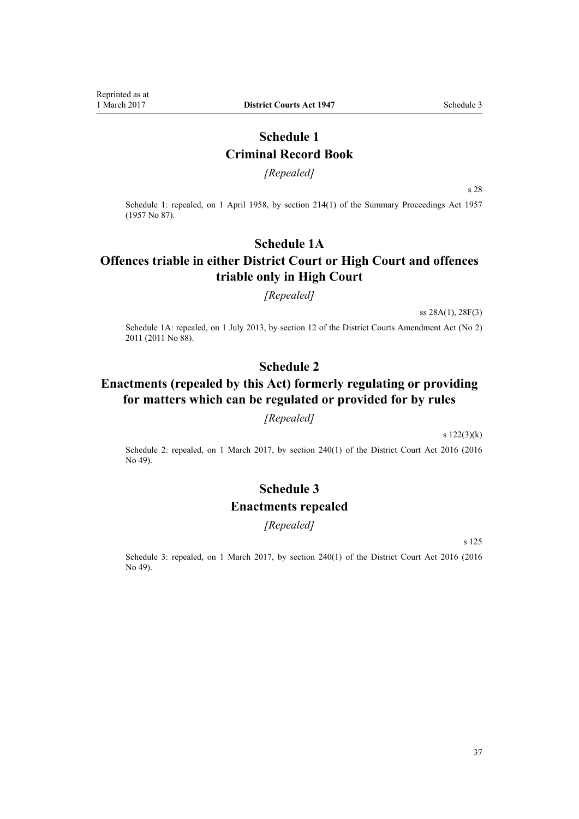## **Schedule 1 Criminal Record Book**

*[Repealed]*

s 28

<span id="page-36-0"></span>Schedule 1: repealed, on 1 April 1958, by [section 214\(1\)](http://prd-lgnz-nlb.prd.pco.net.nz/pdflink.aspx?id=DLM314306) of the Summary Proceedings Act 1957 (1957 No 87).

## **Schedule 1A**

## **Offences triable in either District Court or High Court and offences triable only in High Court**

*[Repealed]*

ss 28A(1), 28F(3)

Schedule 1A: repealed, on 1 July 2013, by [section 12](http://prd-lgnz-nlb.prd.pco.net.nz/pdflink.aspx?id=DLM4058121) of the District Courts Amendment Act (No 2) 2011 (2011 No 88).

## **Schedule 2**

# **Enactments (repealed by this Act) formerly regulating or providing for matters which can be regulated or provided for by rules**

#### *[Repealed]*

[s 122\(3\)\(k\)](#page-35-0)

Schedule 2: repealed, on 1 March 2017, by [section 240\(1\)](http://prd-lgnz-nlb.prd.pco.net.nz/pdflink.aspx?id=DLM6942646) of the District Court Act 2016 (2016 No 49).

# **Schedule 3 Enactments repealed**

## *[Repealed]*

[s 125](#page-35-0)

Schedule 3: repealed, on 1 March 2017, by [section 240\(1\)](http://prd-lgnz-nlb.prd.pco.net.nz/pdflink.aspx?id=DLM6942646) of the District Court Act 2016 (2016) No 49).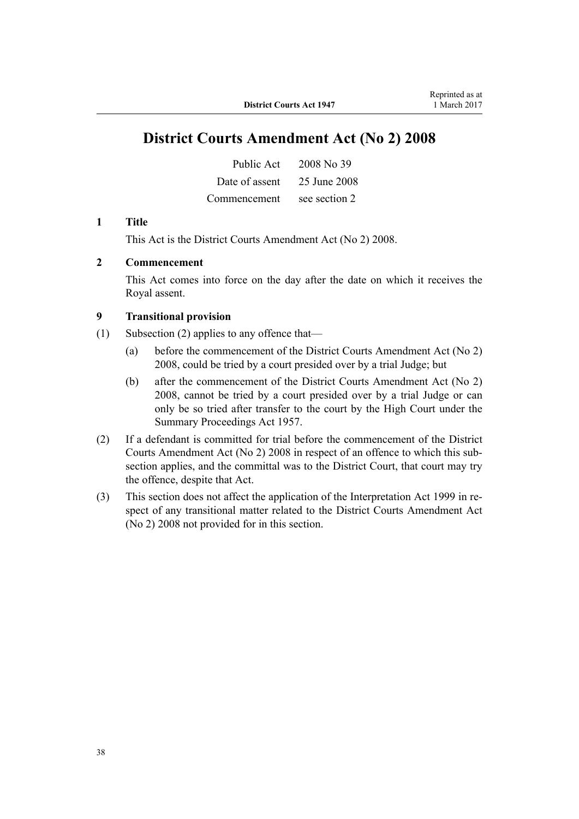# **District Courts Amendment Act (No 2) 2008**

| Public Act     | 2008 No 39    |
|----------------|---------------|
| Date of assent | 25 June 2008  |
| Commencement   | see section 2 |

#### **1 Title**

This Act is the [District Courts Amendment Act \(No 2\) 2008.](http://prd-lgnz-nlb.prd.pco.net.nz/pdflink.aspx?id=DLM1379103)

## **2 Commencement**

This Act comes into force on the day after the date on which it receives the Royal assent.

## **9 Transitional provision**

- (1) Subsection (2) applies to any offence that—
	- (a) before the commencement of the District Courts Amendment Act (No 2) 2008, could be tried by a court presided over by a trial Judge; but
	- (b) after the commencement of the District Courts Amendment Act (No 2) 2008, cannot be tried by a court presided over by a trial Judge or can only be so tried after transfer to the court by the High Court under the Summary Proceedings Act 1957.
- (2) If a defendant is committed for trial before the commencement of the District Courts Amendment Act (No 2) 2008 in respect of an offence to which this subsection applies, and the committal was to the District Court, that court may try the offence, despite that Act.
- (3) This section does not affect the application of the Interpretation Act 1999 in respect of any transitional matter related to the District Courts Amendment Act (No 2) 2008 not provided for in this section.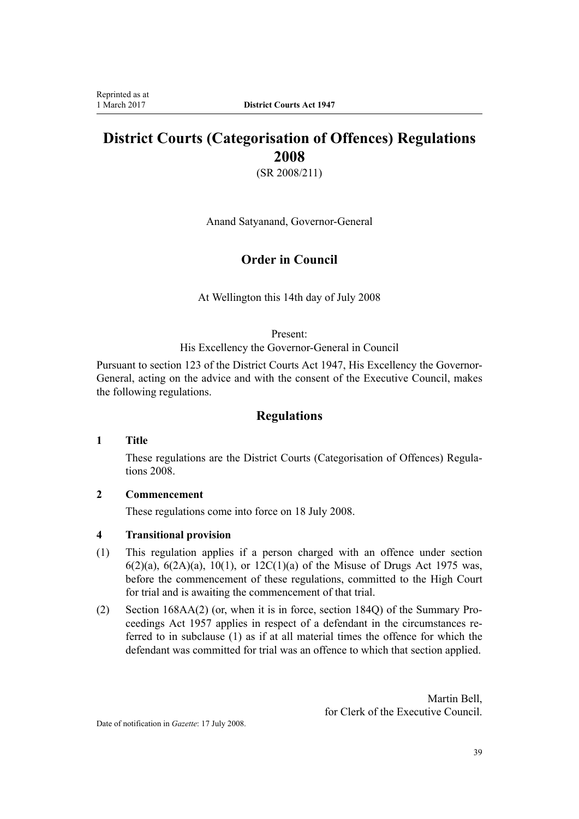# **District Courts (Categorisation of Offences) Regulations 2008**

(SR 2008/211)

Anand Satyanand, Governor-General

## **Order in Council**

At Wellington this 14th day of July 2008

Present:

His Excellency the Governor-General in Council

Pursuant to section 123 of the District Courts Act 1947, His Excellency the Governor-General, acting on the advice and with the consent of the Executive Council, makes the following regulations.

## **Regulations**

## **1 Title**

These regulations are the [District Courts \(Categorisation of Offences\) Regula](http://prd-lgnz-nlb.prd.pco.net.nz/pdflink.aspx?id=DLM1434900)[tions 2008](http://prd-lgnz-nlb.prd.pco.net.nz/pdflink.aspx?id=DLM1434900).

## **2 Commencement**

These regulations come into force on 18 July 2008.

## **4 Transitional provision**

- (1) This regulation applies if a person charged with an offence under section 6(2)(a), 6(2A)(a), 10(1), or 12C(1)(a) of the Misuse of Drugs Act 1975 was, before the commencement of these regulations, committed to the High Court for trial and is awaiting the commencement of that trial.
- (2) Section 168AA(2) (or, when it is in force, section 184Q) of the Summary Proceedings Act 1957 applies in respect of a defendant in the circumstances referred to in subclause (1) as if at all material times the offence for which the defendant was committed for trial was an offence to which that section applied.

Martin Bell, for Clerk of the Executive Council.

Date of notification in *Gazette*: 17 July 2008.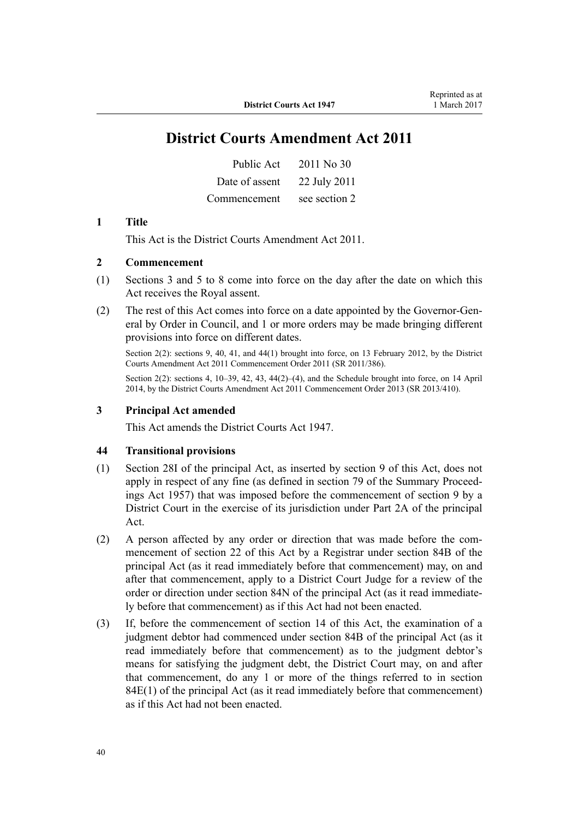# **District Courts Amendment Act 2011**

| Public Act     | 2011 No 30    |
|----------------|---------------|
| Date of assent | 22 July 2011  |
| Commencement   | see section 2 |

#### **1 Title**

This Act is the [District Courts Amendment Act 2011](http://prd-lgnz-nlb.prd.pco.net.nz/pdflink.aspx?id=DLM2929702).

## **2 Commencement**

- (1) Sections 3 and 5 to 8 come into force on the day after the date on which this Act receives the Royal assent.
- (2) The rest of this Act comes into force on a date appointed by the Governor-General by Order in Council, and 1 or more orders may be made bringing different provisions into force on different dates.

Section 2(2): sections 9, 40, 41, and 44(1) brought into force, on 13 February 2012, by the [District](http://prd-lgnz-nlb.prd.pco.net.nz/pdflink.aspx?id=DLM4116400) [Courts Amendment Act 2011 Commencement Order 2011](http://prd-lgnz-nlb.prd.pco.net.nz/pdflink.aspx?id=DLM4116400) (SR 2011/386).

Section 2(2): sections 4, 10–39, 42, 43, 44(2)–(4), and the Schedule brought into force, on 14 April 2014, by the [District Courts Amendment Act 2011 Commencement Order 2013](http://prd-lgnz-nlb.prd.pco.net.nz/pdflink.aspx?id=DLM5637209) (SR 2013/410).

## **3 Principal Act amended**

This Act amends the District Courts Act 1947.

#### **44 Transitional provisions**

- (1) Section 28I of the principal Act, as inserted by section 9 of this Act, does not apply in respect of any fine (as defined in section 79 of the Summary Proceedings Act 1957) that was imposed before the commencement of section 9 by a District Court in the exercise of its jurisdiction under Part 2A of the principal Act.
- (2) A person affected by any order or direction that was made before the commencement of section 22 of this Act by a Registrar under section 84B of the principal Act (as it read immediately before that commencement) may, on and after that commencement, apply to a District Court Judge for a review of the order or direction under section 84N of the principal Act (as it read immediately before that commencement) as if this Act had not been enacted.
- (3) If, before the commencement of section 14 of this Act, the examination of a judgment debtor had commenced under section 84B of the principal Act (as it read immediately before that commencement) as to the judgment debtor's means for satisfying the judgment debt, the District Court may, on and after that commencement, do any 1 or more of the things referred to in section 84E(1) of the principal Act (as it read immediately before that commencement) as if this Act had not been enacted.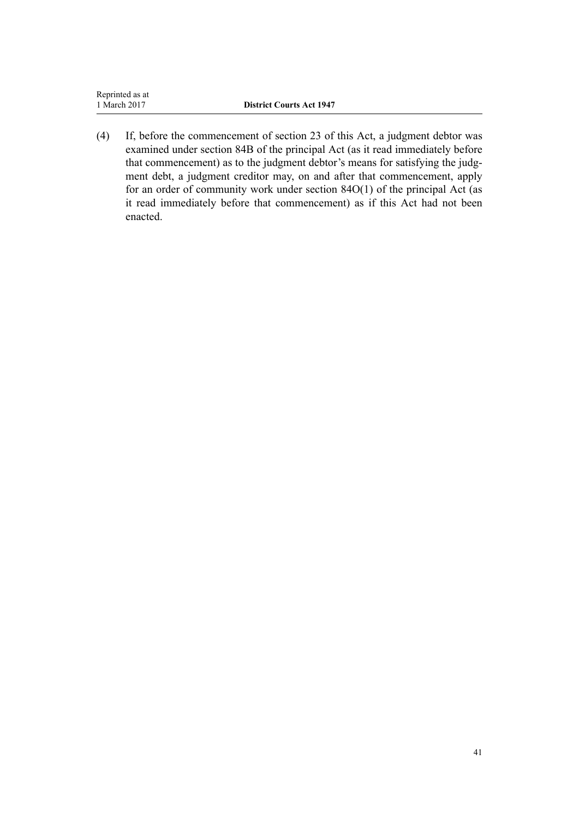| Reprinted as at |                                 |
|-----------------|---------------------------------|
| 1 March 2017    | <b>District Courts Act 1947</b> |
|                 |                                 |

(4) If, before the commencement of section 23 of this Act, a judgment debtor was examined under section 84B of the principal Act (as it read immediately before that commencement) as to the judgment debtor's means for satisfying the judgment debt, a judgment creditor may, on and after that commencement, apply for an order of community work under section 84O(1) of the principal Act (as it read immediately before that commencement) as if this Act had not been enacted.